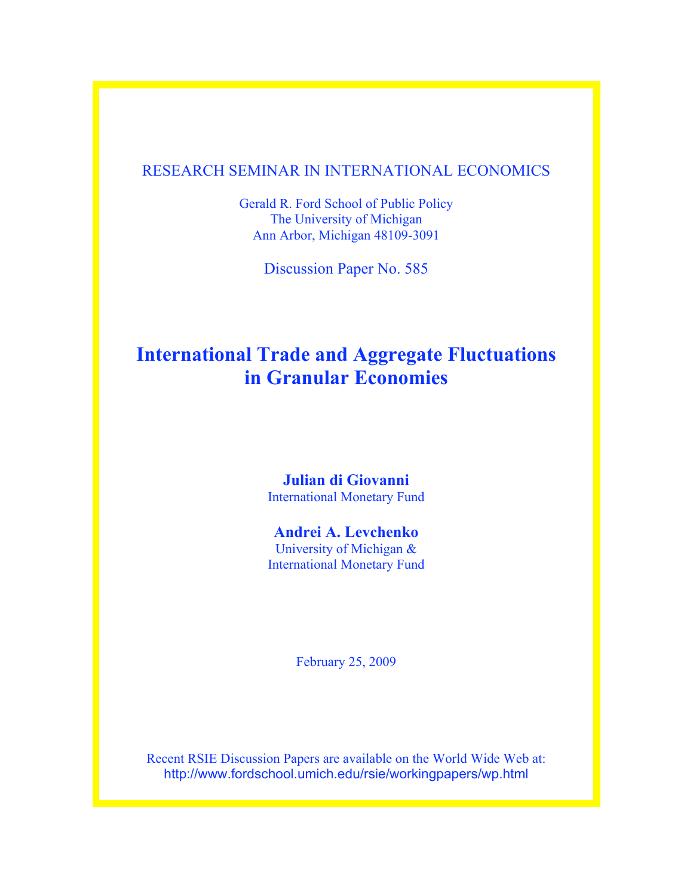# RESEARCH SEMINAR IN INTERNATIONAL ECONOMICS

Gerald R. Ford School of Public Policy The University of Michigan Ann Arbor, Michigan 48109-3091

Discussion Paper No. 585

# **International Trade and Aggregate Fluctuations in Granular Economies**

# **Julian di Giovanni**

International Monetary Fund

# **Andrei A. Levchenko**

University of Michigan & International Monetary Fund

February 25, 2009

Recent RSIE Discussion Papers are available on the World Wide Web at: http://www.fordschool.umich.edu/rsie/workingpapers/wp.html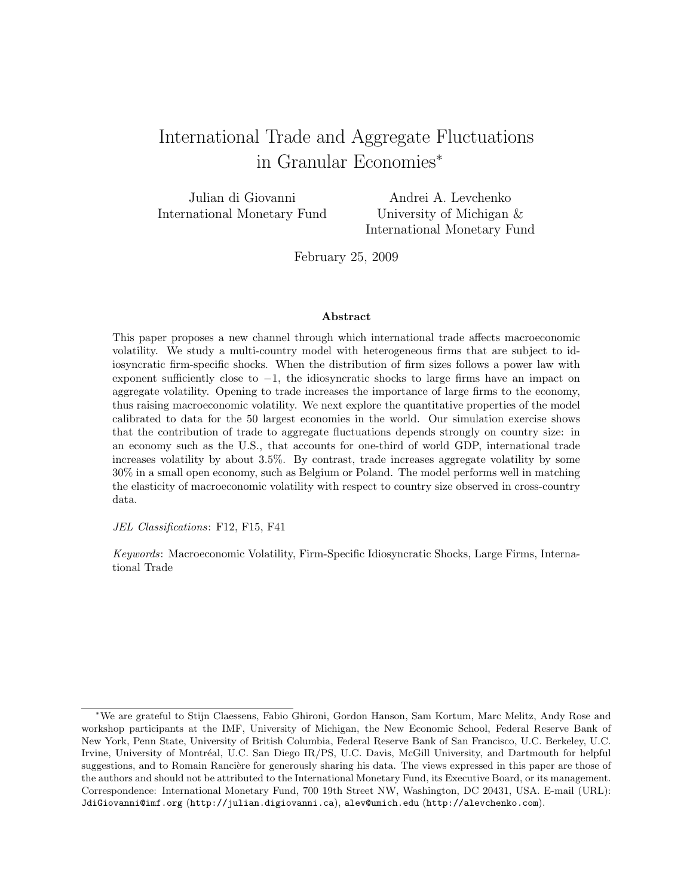# International Trade and Aggregate Fluctuations in Granular Economies<sup>∗</sup>

Julian di Giovanni International Monetary Fund

Andrei A. Levchenko University of Michigan & International Monetary Fund

February 25, 2009

#### Abstract

This paper proposes a new channel through which international trade affects macroeconomic volatility. We study a multi-country model with heterogeneous firms that are subject to idiosyncratic firm-specific shocks. When the distribution of firm sizes follows a power law with exponent sufficiently close to  $-1$ , the idiosyncratic shocks to large firms have an impact on aggregate volatility. Opening to trade increases the importance of large firms to the economy, thus raising macroeconomic volatility. We next explore the quantitative properties of the model calibrated to data for the 50 largest economies in the world. Our simulation exercise shows that the contribution of trade to aggregate fluctuations depends strongly on country size: in an economy such as the U.S., that accounts for one-third of world GDP, international trade increases volatility by about 3.5%. By contrast, trade increases aggregate volatility by some 30% in a small open economy, such as Belgium or Poland. The model performs well in matching the elasticity of macroeconomic volatility with respect to country size observed in cross-country data.

JEL Classifications: F12, F15, F41

Keywords: Macroeconomic Volatility, Firm-Specific Idiosyncratic Shocks, Large Firms, International Trade

<sup>∗</sup>We are grateful to Stijn Claessens, Fabio Ghironi, Gordon Hanson, Sam Kortum, Marc Melitz, Andy Rose and workshop participants at the IMF, University of Michigan, the New Economic School, Federal Reserve Bank of New York, Penn State, University of British Columbia, Federal Reserve Bank of San Francisco, U.C. Berkeley, U.C. Irvine, University of Montréal, U.C. San Diego IR/PS, U.C. Davis, McGill University, and Dartmouth for helpful suggestions, and to Romain Rancière for generously sharing his data. The views expressed in this paper are those of the authors and should not be attributed to the International Monetary Fund, its Executive Board, or its management. Correspondence: International Monetary Fund, 700 19th Street NW, Washington, DC 20431, USA. E-mail (URL): JdiGiovanni@imf.org (http://julian.digiovanni.ca), alev@umich.edu (http://alevchenko.com).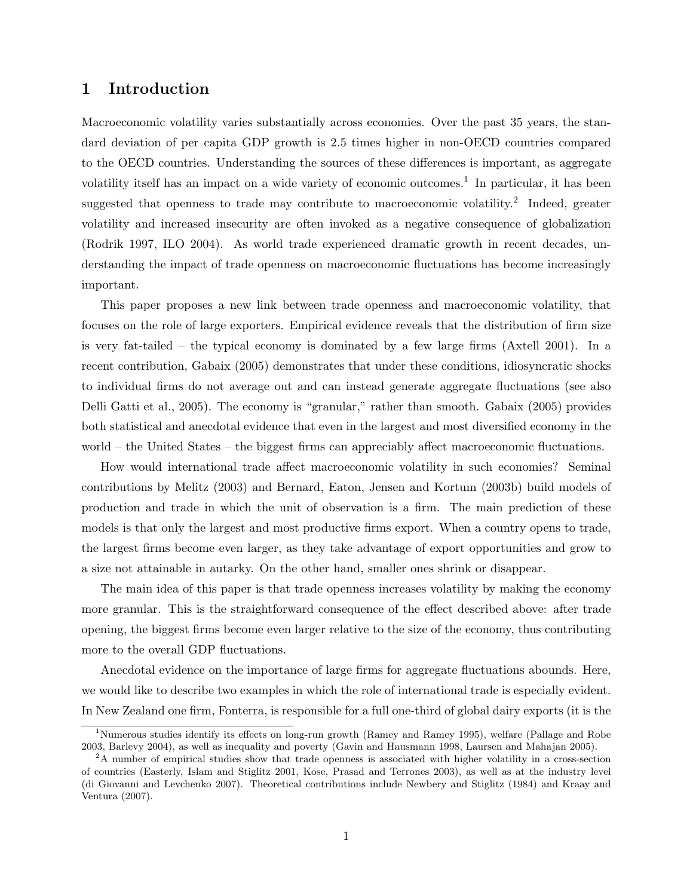## 1 Introduction

Macroeconomic volatility varies substantially across economies. Over the past 35 years, the standard deviation of per capita GDP growth is 2.5 times higher in non-OECD countries compared to the OECD countries. Understanding the sources of these differences is important, as aggregate volatility itself has an impact on a wide variety of economic outcomes.<sup>1</sup> In particular, it has been suggested that openness to trade may contribute to macroeconomic volatility.<sup>2</sup> Indeed, greater volatility and increased insecurity are often invoked as a negative consequence of globalization (Rodrik 1997, ILO 2004). As world trade experienced dramatic growth in recent decades, understanding the impact of trade openness on macroeconomic fluctuations has become increasingly important.

This paper proposes a new link between trade openness and macroeconomic volatility, that focuses on the role of large exporters. Empirical evidence reveals that the distribution of firm size is very fat-tailed – the typical economy is dominated by a few large firms (Axtell 2001). In a recent contribution, Gabaix (2005) demonstrates that under these conditions, idiosyncratic shocks to individual firms do not average out and can instead generate aggregate fluctuations (see also Delli Gatti et al., 2005). The economy is "granular," rather than smooth. Gabaix (2005) provides both statistical and anecdotal evidence that even in the largest and most diversified economy in the world – the United States – the biggest firms can appreciably affect macroeconomic fluctuations.

How would international trade affect macroeconomic volatility in such economies? Seminal contributions by Melitz (2003) and Bernard, Eaton, Jensen and Kortum (2003b) build models of production and trade in which the unit of observation is a firm. The main prediction of these models is that only the largest and most productive firms export. When a country opens to trade, the largest firms become even larger, as they take advantage of export opportunities and grow to a size not attainable in autarky. On the other hand, smaller ones shrink or disappear.

The main idea of this paper is that trade openness increases volatility by making the economy more granular. This is the straightforward consequence of the effect described above: after trade opening, the biggest firms become even larger relative to the size of the economy, thus contributing more to the overall GDP fluctuations.

Anecdotal evidence on the importance of large firms for aggregate fluctuations abounds. Here, we would like to describe two examples in which the role of international trade is especially evident. In New Zealand one firm, Fonterra, is responsible for a full one-third of global dairy exports (it is the

<sup>&</sup>lt;sup>1</sup>Numerous studies identify its effects on long-run growth (Ramey and Ramey 1995), welfare (Pallage and Robe 2003, Barlevy 2004), as well as inequality and poverty (Gavin and Hausmann 1998, Laursen and Mahajan 2005).

<sup>&</sup>lt;sup>2</sup>A number of empirical studies show that trade openness is associated with higher volatility in a cross-section of countries (Easterly, Islam and Stiglitz 2001, Kose, Prasad and Terrones 2003), as well as at the industry level (di Giovanni and Levchenko 2007). Theoretical contributions include Newbery and Stiglitz (1984) and Kraay and Ventura (2007).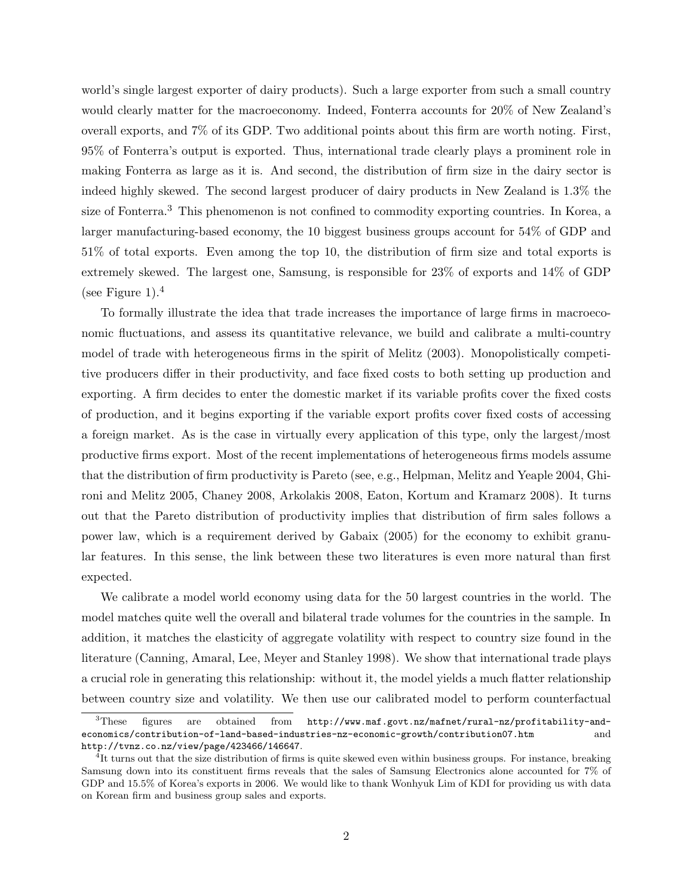world's single largest exporter of dairy products). Such a large exporter from such a small country would clearly matter for the macroeconomy. Indeed, Fonterra accounts for 20% of New Zealand's overall exports, and 7% of its GDP. Two additional points about this firm are worth noting. First, 95% of Fonterra's output is exported. Thus, international trade clearly plays a prominent role in making Fonterra as large as it is. And second, the distribution of firm size in the dairy sector is indeed highly skewed. The second largest producer of dairy products in New Zealand is 1.3% the size of Fonterra.<sup>3</sup> This phenomenon is not confined to commodity exporting countries. In Korea, a larger manufacturing-based economy, the 10 biggest business groups account for 54% of GDP and 51% of total exports. Even among the top 10, the distribution of firm size and total exports is extremely skewed. The largest one, Samsung, is responsible for 23% of exports and 14% of GDP (see Figure 1).<sup>4</sup>

To formally illustrate the idea that trade increases the importance of large firms in macroeconomic fluctuations, and assess its quantitative relevance, we build and calibrate a multi-country model of trade with heterogeneous firms in the spirit of Melitz (2003). Monopolistically competitive producers differ in their productivity, and face fixed costs to both setting up production and exporting. A firm decides to enter the domestic market if its variable profits cover the fixed costs of production, and it begins exporting if the variable export profits cover fixed costs of accessing a foreign market. As is the case in virtually every application of this type, only the largest/most productive firms export. Most of the recent implementations of heterogeneous firms models assume that the distribution of firm productivity is Pareto (see, e.g., Helpman, Melitz and Yeaple 2004, Ghironi and Melitz 2005, Chaney 2008, Arkolakis 2008, Eaton, Kortum and Kramarz 2008). It turns out that the Pareto distribution of productivity implies that distribution of firm sales follows a power law, which is a requirement derived by Gabaix (2005) for the economy to exhibit granular features. In this sense, the link between these two literatures is even more natural than first expected.

We calibrate a model world economy using data for the 50 largest countries in the world. The model matches quite well the overall and bilateral trade volumes for the countries in the sample. In addition, it matches the elasticity of aggregate volatility with respect to country size found in the literature (Canning, Amaral, Lee, Meyer and Stanley 1998). We show that international trade plays a crucial role in generating this relationship: without it, the model yields a much flatter relationship between country size and volatility. We then use our calibrated model to perform counterfactual

<sup>3</sup>These figures are obtained from http://www.maf.govt.nz/mafnet/rural-nz/profitability-andeconomics/contribution-of-land-based-industries-nz-economic-growth/contribution07.htm and http://tvnz.co.nz/view/page/423466/146647.

<sup>&</sup>lt;sup>4</sup>It turns out that the size distribution of firms is quite skewed even within business groups. For instance, breaking Samsung down into its constituent firms reveals that the sales of Samsung Electronics alone accounted for 7% of GDP and 15.5% of Korea's exports in 2006. We would like to thank Wonhyuk Lim of KDI for providing us with data on Korean firm and business group sales and exports.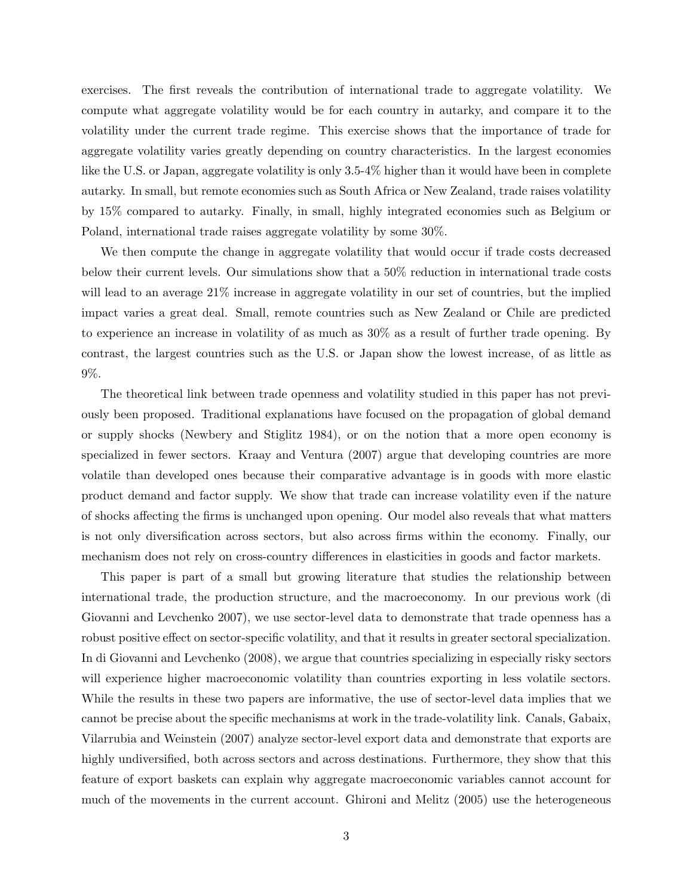exercises. The first reveals the contribution of international trade to aggregate volatility. We compute what aggregate volatility would be for each country in autarky, and compare it to the volatility under the current trade regime. This exercise shows that the importance of trade for aggregate volatility varies greatly depending on country characteristics. In the largest economies like the U.S. or Japan, aggregate volatility is only 3.5-4% higher than it would have been in complete autarky. In small, but remote economies such as South Africa or New Zealand, trade raises volatility by 15% compared to autarky. Finally, in small, highly integrated economies such as Belgium or Poland, international trade raises aggregate volatility by some 30%.

We then compute the change in aggregate volatility that would occur if trade costs decreased below their current levels. Our simulations show that a 50% reduction in international trade costs will lead to an average 21% increase in aggregate volatility in our set of countries, but the implied impact varies a great deal. Small, remote countries such as New Zealand or Chile are predicted to experience an increase in volatility of as much as 30% as a result of further trade opening. By contrast, the largest countries such as the U.S. or Japan show the lowest increase, of as little as 9%.

The theoretical link between trade openness and volatility studied in this paper has not previously been proposed. Traditional explanations have focused on the propagation of global demand or supply shocks (Newbery and Stiglitz 1984), or on the notion that a more open economy is specialized in fewer sectors. Kraay and Ventura (2007) argue that developing countries are more volatile than developed ones because their comparative advantage is in goods with more elastic product demand and factor supply. We show that trade can increase volatility even if the nature of shocks affecting the firms is unchanged upon opening. Our model also reveals that what matters is not only diversification across sectors, but also across firms within the economy. Finally, our mechanism does not rely on cross-country differences in elasticities in goods and factor markets.

This paper is part of a small but growing literature that studies the relationship between international trade, the production structure, and the macroeconomy. In our previous work (di Giovanni and Levchenko 2007), we use sector-level data to demonstrate that trade openness has a robust positive effect on sector-specific volatility, and that it results in greater sectoral specialization. In di Giovanni and Levchenko (2008), we argue that countries specializing in especially risky sectors will experience higher macroeconomic volatility than countries exporting in less volatile sectors. While the results in these two papers are informative, the use of sector-level data implies that we cannot be precise about the specific mechanisms at work in the trade-volatility link. Canals, Gabaix, Vilarrubia and Weinstein (2007) analyze sector-level export data and demonstrate that exports are highly undiversified, both across sectors and across destinations. Furthermore, they show that this feature of export baskets can explain why aggregate macroeconomic variables cannot account for much of the movements in the current account. Ghironi and Melitz (2005) use the heterogeneous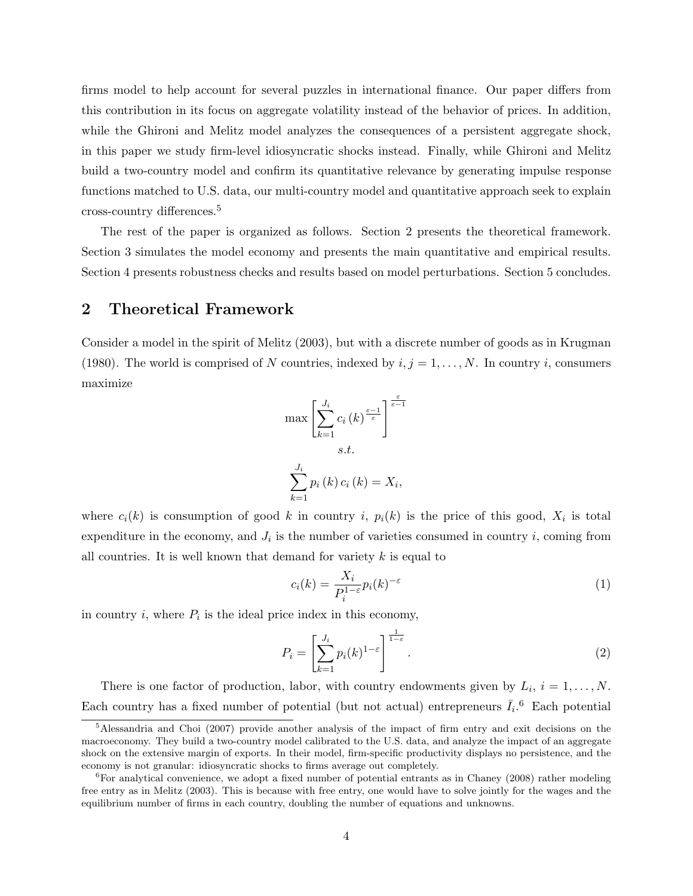firms model to help account for several puzzles in international finance. Our paper differs from this contribution in its focus on aggregate volatility instead of the behavior of prices. In addition, while the Ghironi and Melitz model analyzes the consequences of a persistent aggregate shock, in this paper we study firm-level idiosyncratic shocks instead. Finally, while Ghironi and Melitz build a two-country model and confirm its quantitative relevance by generating impulse response functions matched to U.S. data, our multi-country model and quantitative approach seek to explain cross-country differences.<sup>5</sup>

The rest of the paper is organized as follows. Section 2 presents the theoretical framework. Section 3 simulates the model economy and presents the main quantitative and empirical results. Section 4 presents robustness checks and results based on model perturbations. Section 5 concludes.

## 2 Theoretical Framework

Consider a model in the spirit of Melitz (2003), but with a discrete number of goods as in Krugman (1980). The world is comprised of N countries, indexed by  $i, j = 1, \ldots, N$ . In country i, consumers maximize

$$
\max \left[ \sum_{k=1}^{J_i} c_i(k)^{\frac{\varepsilon-1}{\varepsilon}} \right]^{\frac{\varepsilon}{\varepsilon-1}}
$$
  
s.t.  

$$
\sum_{k=1}^{J_i} p_i(k) c_i(k) = X_i,
$$

where  $c_i(k)$  is consumption of good k in country i,  $p_i(k)$  is the price of this good,  $X_i$  is total expenditure in the economy, and  $J_i$  is the number of varieties consumed in country i, coming from all countries. It is well known that demand for variety  $k$  is equal to

$$
c_i(k) = \frac{X_i}{P_i^{1-\varepsilon}} p_i(k)^{-\varepsilon}
$$
 (1)

in country  $i$ , where  $P_i$  is the ideal price index in this economy,

$$
P_i = \left[\sum_{k=1}^{J_i} p_i(k)^{1-\varepsilon}\right]^{\frac{1}{1-\varepsilon}}.\tag{2}
$$

There is one factor of production, labor, with country endowments given by  $L_i$ ,  $i = 1, ..., N$ . Each country has a fixed number of potential (but not actual) entrepreneurs  $\bar{I}_i$ .<sup>6</sup> Each potential

<sup>&</sup>lt;sup>5</sup>Alessandria and Choi (2007) provide another analysis of the impact of firm entry and exit decisions on the macroeconomy. They build a two-country model calibrated to the U.S. data, and analyze the impact of an aggregate shock on the extensive margin of exports. In their model, firm-specific productivity displays no persistence, and the economy is not granular: idiosyncratic shocks to firms average out completely.

<sup>&</sup>lt;sup>6</sup>For analytical convenience, we adopt a fixed number of potential entrants as in Chaney (2008) rather modeling free entry as in Melitz (2003). This is because with free entry, one would have to solve jointly for the wages and the equilibrium number of firms in each country, doubling the number of equations and unknowns.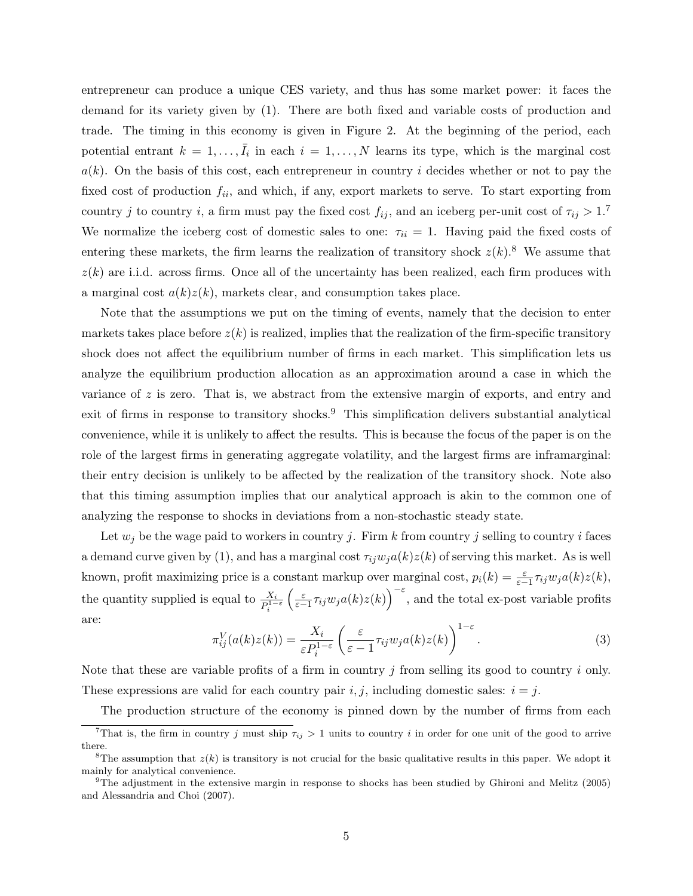entrepreneur can produce a unique CES variety, and thus has some market power: it faces the demand for its variety given by (1). There are both fixed and variable costs of production and trade. The timing in this economy is given in Figure 2. At the beginning of the period, each potential entrant  $k = 1, \ldots, \bar{I}_i$  in each  $i = 1, \ldots, N$  learns its type, which is the marginal cost  $a(k)$ . On the basis of this cost, each entrepreneur in country i decides whether or not to pay the fixed cost of production  $f_{ii}$ , and which, if any, export markets to serve. To start exporting from country j to country i, a firm must pay the fixed cost  $f_{ij}$ , and an iceberg per-unit cost of  $\tau_{ij} > 1$ .<sup>7</sup> We normalize the iceberg cost of domestic sales to one:  $\tau_{ii} = 1$ . Having paid the fixed costs of entering these markets, the firm learns the realization of transitory shock  $z(k)$ .<sup>8</sup> We assume that  $z(k)$  are i.i.d. across firms. Once all of the uncertainty has been realized, each firm produces with a marginal cost  $a(k)z(k)$ , markets clear, and consumption takes place.

Note that the assumptions we put on the timing of events, namely that the decision to enter markets takes place before  $z(k)$  is realized, implies that the realization of the firm-specific transitory shock does not affect the equilibrium number of firms in each market. This simplification lets us analyze the equilibrium production allocation as an approximation around a case in which the variance of z is zero. That is, we abstract from the extensive margin of exports, and entry and exit of firms in response to transitory shocks.<sup>9</sup> This simplification delivers substantial analytical convenience, while it is unlikely to affect the results. This is because the focus of the paper is on the role of the largest firms in generating aggregate volatility, and the largest firms are inframarginal: their entry decision is unlikely to be affected by the realization of the transitory shock. Note also that this timing assumption implies that our analytical approach is akin to the common one of analyzing the response to shocks in deviations from a non-stochastic steady state.

Let  $w_j$  be the wage paid to workers in country j. Firm k from country j selling to country i faces a demand curve given by (1), and has a marginal cost  $\tau_{ij}w_j a(k)z(k)$  of serving this market. As is well known, profit maximizing price is a constant markup over marginal cost,  $p_i(k) = \frac{\varepsilon}{\varepsilon - 1} \tau_{ij} w_j a(k) z(k)$ , the quantity supplied is equal to  $\frac{X_i}{P_i^{1-\varepsilon}}$  $\left(\frac{\varepsilon}{\varepsilon-1}\tau_{ij}w_j a(k)z(k)\right)^{-\varepsilon}$ , and the total ex-post variable profits are:

$$
\pi_{ij}^V(a(k)z(k)) = \frac{X_i}{\varepsilon P_i^{1-\varepsilon}} \left(\frac{\varepsilon}{\varepsilon - 1} \tau_{ij} w_j a(k) z(k)\right)^{1-\varepsilon}.
$$
\n(3)

Note that these are variable profits of a firm in country  $j$  from selling its good to country  $i$  only. These expressions are valid for each country pair  $i, j$ , including domestic sales:  $i = j$ .

The production structure of the economy is pinned down by the number of firms from each

<sup>&</sup>lt;sup>7</sup>That is, the firm in country j must ship  $\tau_{ij} > 1$  units to country i in order for one unit of the good to arrive there.

<sup>&</sup>lt;sup>8</sup>The assumption that  $z(k)$  is transitory is not crucial for the basic qualitative results in this paper. We adopt it mainly for analytical convenience.

 $9$ The adjustment in the extensive margin in response to shocks has been studied by Ghironi and Melitz (2005) and Alessandria and Choi (2007).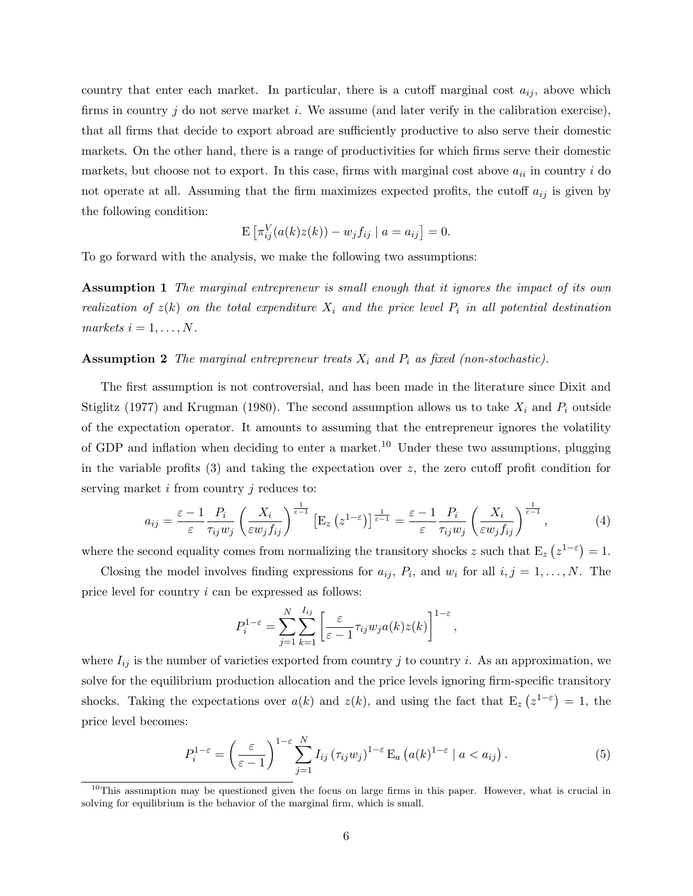country that enter each market. In particular, there is a cutoff marginal cost  $a_{ij}$ , above which firms in country j do not serve market i. We assume (and later verify in the calibration exercise), that all firms that decide to export abroad are sufficiently productive to also serve their domestic markets. On the other hand, there is a range of productivities for which firms serve their domestic markets, but choose not to export. In this case, firms with marginal cost above  $a_{ii}$  in country i do not operate at all. Assuming that the firm maximizes expected profits, the cutoff  $a_{ij}$  is given by the following condition:

$$
\mathbf{E}\left[\pi_{ij}^V(a(k)z(k)) - w_jf_{ij} \mid a = a_{ij}\right] = 0.
$$

To go forward with the analysis, we make the following two assumptions:

**Assumption 1** The marginal entrepreneur is small enough that it ignores the impact of its own realization of  $z(k)$  on the total expenditure  $X_i$  and the price level  $P_i$  in all potential destination markets  $i = 1, \ldots, N$ .

#### **Assumption 2** The marginal entrepreneur treats  $X_i$  and  $P_i$  as fixed (non-stochastic).

The first assumption is not controversial, and has been made in the literature since Dixit and Stiglitz (1977) and Krugman (1980). The second assumption allows us to take  $X_i$  and  $P_i$  outside of the expectation operator. It amounts to assuming that the entrepreneur ignores the volatility of GDP and inflation when deciding to enter a market.<sup>10</sup> Under these two assumptions, plugging in the variable profits  $(3)$  and taking the expectation over z, the zero cutoff profit condition for serving market  $i$  from country  $j$  reduces to:

$$
a_{ij} = \frac{\varepsilon - 1}{\varepsilon} \frac{P_i}{\tau_{ij} w_j} \left(\frac{X_i}{\varepsilon w_j f_{ij}}\right)^{\frac{1}{\varepsilon - 1}} \left[E_z \left(z^{1-\varepsilon}\right)\right]^{\frac{1}{\varepsilon - 1}} = \frac{\varepsilon - 1}{\varepsilon} \frac{P_i}{\tau_{ij} w_j} \left(\frac{X_i}{\varepsilon w_j f_{ij}}\right)^{\frac{1}{\varepsilon - 1}},\tag{4}
$$

where the second equality comes from normalizing the transitory shocks z such that  $E_z(z^{1-\epsilon}) = 1$ .

Closing the model involves finding expressions for  $a_{ij}$ ,  $P_i$ , and  $w_i$  for all  $i, j = 1, ..., N$ . The price level for country i can be expressed as follows:

$$
P_i^{1-\varepsilon} = \sum_{j=1}^N \sum_{k=1}^{I_{ij}} \left[ \frac{\varepsilon}{\varepsilon - 1} \tau_{ij} w_j a(k) z(k) \right]^{1-\varepsilon},
$$

where  $I_{ij}$  is the number of varieties exported from country j to country i. As an approximation, we solve for the equilibrium production allocation and the price levels ignoring firm-specific transitory shocks. Taking the expectations over  $a(k)$  and  $z(k)$ , and using the fact that  $E_z(z^{1-\epsilon}) = 1$ , the price level becomes:

$$
P_i^{1-\varepsilon} = \left(\frac{\varepsilon}{\varepsilon-1}\right)^{1-\varepsilon} \sum_{j=1}^N I_{ij} \left(\tau_{ij} w_j\right)^{1-\varepsilon} \mathcal{E}_a \left(a(k)^{1-\varepsilon} \mid a < a_{ij}\right). \tag{5}
$$

 $10$ This assumption may be questioned given the focus on large firms in this paper. However, what is crucial in solving for equilibrium is the behavior of the marginal firm, which is small.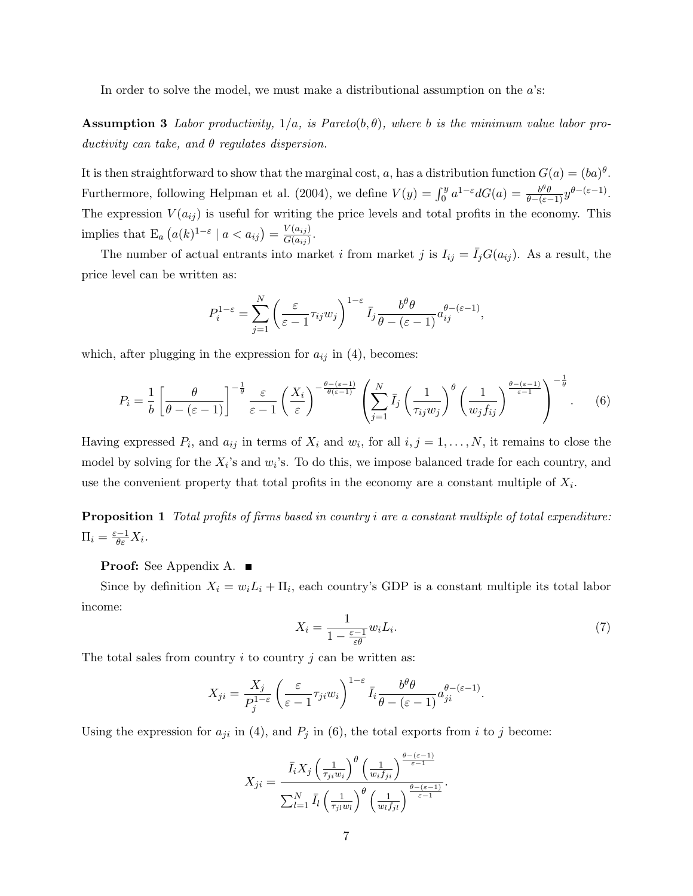In order to solve the model, we must make a distributional assumption on the  $a$ 's:

**Assumption 3** Labor productivity,  $1/a$ , is Pareto(b,  $\theta$ ), where b is the minimum value labor productivity can take, and  $\theta$  regulates dispersion.

It is then straightforward to show that the marginal cost, a, has a distribution function  $G(a) = (ba)^{\theta}$ . Furthermore, following Helpman et al. (2004), we define  $V(y) = \int_0^y a^{1-\varepsilon} dG(a) = \frac{b^{\theta} \theta}{\theta - (\varepsilon - 1)} y^{\theta - (\varepsilon - 1)}$ . The expression  $V(a_{ij})$  is useful for writing the price levels and total profits in the economy. This implies that  $\mathbb{E}_a\left(a(k)^{1-\varepsilon} \mid a < a_{ij}\right) = \frac{V(a_{ij})}{G(a_{ij})}$  $\frac{V\left(a_{ij}\right)}{G\left(a_{ij}\right)}$ .

The number of actual entrants into market i from market j is  $I_{ij} = \bar{I}_jG(a_{ij})$ . As a result, the price level can be written as:

$$
P_i^{1-\varepsilon} = \sum_{j=1}^N \left( \frac{\varepsilon}{\varepsilon - 1} \tau_{ij} w_j \right)^{1-\varepsilon} \bar{I}_j \frac{b^\theta \theta}{\theta - (\varepsilon - 1)} a_{ij}^{\theta - (\varepsilon - 1)},
$$

which, after plugging in the expression for  $a_{ij}$  in (4), becomes:

$$
P_i = \frac{1}{b} \left[ \frac{\theta}{\theta - (\varepsilon - 1)} \right]^{-\frac{1}{\theta}} \frac{\varepsilon}{\varepsilon - 1} \left( \frac{X_i}{\varepsilon} \right)^{-\frac{\theta - (\varepsilon - 1)}{\theta(\varepsilon - 1)}} \left( \sum_{j=1}^N \bar{I}_j \left( \frac{1}{\tau_{ij} w_j} \right)^{\theta} \left( \frac{1}{w_j f_{ij}} \right)^{\frac{\theta - (\varepsilon - 1)}{\varepsilon - 1}} \right)^{-\frac{1}{\theta}}.
$$
 (6)

Having expressed  $P_i$ , and  $a_{ij}$  in terms of  $X_i$  and  $w_i$ , for all  $i, j = 1, \ldots, N$ , it remains to close the model by solving for the  $X_i$ 's and  $w_i$ 's. To do this, we impose balanced trade for each country, and use the convenient property that total profits in the economy are a constant multiple of  $X_i$ .

Proposition 1 Total profits of firms based in country i are a constant multiple of total expenditure:  $\Pi_i = \frac{\varepsilon - 1}{\theta \varepsilon} X_i.$ 

Proof: See Appendix A. ■

Since by definition  $X_i = w_i L_i + \Pi_i$ , each country's GDP is a constant multiple its total labor income:

$$
X_i = \frac{1}{1 - \frac{\varepsilon - 1}{\varepsilon \theta}} w_i L_i.
$$
\n<sup>(7)</sup>

The total sales from country  $i$  to country  $j$  can be written as:

$$
X_{ji} = \frac{X_j}{P_j^{1-\varepsilon}} \left( \frac{\varepsilon}{\varepsilon - 1} \tau_{ji} w_i \right)^{1-\varepsilon} \bar{I}_i \frac{b^\theta \theta}{\theta - (\varepsilon - 1)} a_{ji}^{\theta - (\varepsilon - 1)}.
$$

Using the expression for  $a_{ji}$  in (4), and  $P_j$  in (6), the total exports from i to j become:

$$
X_{ji} = \frac{\bar{I}_i X_j \left(\frac{1}{\tau_{ji} w_i}\right)^{\theta} \left(\frac{1}{w_i f_{ji}}\right)^{\frac{\theta - (\varepsilon - 1)}{\varepsilon - 1}}}{\sum_{l=1}^N \bar{I}_l \left(\frac{1}{\tau_{jl} w_l}\right)^{\theta} \left(\frac{1}{w_l f_{jl}}\right)^{\frac{\theta - (\varepsilon - 1)}{\varepsilon - 1}}}.
$$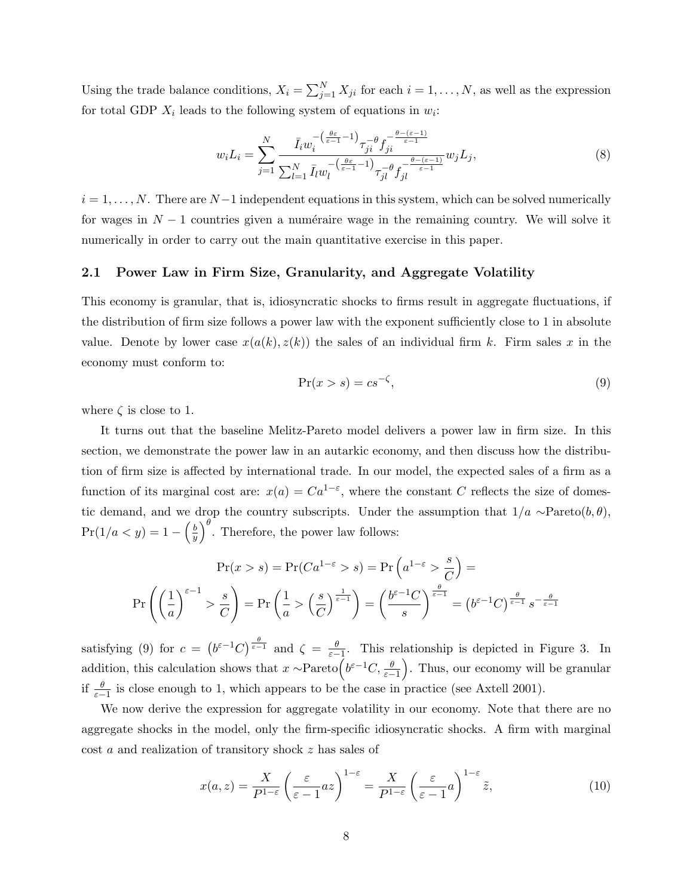Using the trade balance conditions,  $X_i = \sum_{j=1}^{N} X_{ji}$  for each  $i = 1, ..., N$ , as well as the expression for total GDP  $X_i$  leads to the following system of equations in  $w_i$ :

$$
w_i L_i = \sum_{j=1}^N \frac{\bar{I}_i w_i^{-\left(\frac{\theta \varepsilon}{\varepsilon - 1} - 1\right)} \tau_{ji}^{-\theta} f_{ji}^{-\frac{\theta - (\varepsilon - 1)}{\varepsilon - 1}}}{\sum_{l=1}^N \bar{I}_l w_l^{-\left(\frac{\theta \varepsilon}{\varepsilon - 1} - 1\right)} \tau_{jl}^{-\theta} f_{jl}^{-\frac{\theta - (\varepsilon - 1)}{\varepsilon - 1}} w_j L_j},\tag{8}
$$

 $i = 1, \ldots, N$ . There are  $N-1$  independent equations in this system, which can be solved numerically for wages in  $N-1$  countries given a numéraire wage in the remaining country. We will solve it numerically in order to carry out the main quantitative exercise in this paper.

### 2.1 Power Law in Firm Size, Granularity, and Aggregate Volatility

This economy is granular, that is, idiosyncratic shocks to firms result in aggregate fluctuations, if the distribution of firm size follows a power law with the exponent sufficiently close to 1 in absolute value. Denote by lower case  $x(a(k), z(k))$  the sales of an individual firm k. Firm sales x in the economy must conform to:

$$
\Pr(x > s) = cs^{-\zeta},\tag{9}
$$

where  $\zeta$  is close to 1.

It turns out that the baseline Melitz-Pareto model delivers a power law in firm size. In this section, we demonstrate the power law in an autarkic economy, and then discuss how the distribution of firm size is affected by international trade. In our model, the expected sales of a firm as a function of its marginal cost are:  $x(a) = Ca^{1-\epsilon}$ , where the constant C reflects the size of domestic demand, and we drop the country subscripts. Under the assumption that  $1/a \sim \text{Pareto}(b, \theta)$ ,  $Pr(1/a < y) = 1 - \left(\frac{b}{y}\right)$  $\left(\frac{b}{y}\right)^{\theta}$ . Therefore, the power law follows:

$$
\Pr(x > s) = \Pr(Ca^{1-\varepsilon} > s) = \Pr\left(a^{1-\varepsilon} > \frac{s}{C}\right) =
$$
\n
$$
\Pr\left(\left(\frac{1}{a}\right)^{\varepsilon-1} > \frac{s}{C}\right) = \Pr\left(\frac{1}{a} > \left(\frac{s}{C}\right)^{\frac{1}{\varepsilon-1}}\right) = \left(\frac{b^{\varepsilon-1}C}{s}\right)^{\frac{\theta}{\varepsilon-1}} = \left(b^{\varepsilon-1}C\right)^{\frac{\theta}{\varepsilon-1}} s^{-\frac{\theta}{\varepsilon-1}}
$$

satisfying (9) for  $c = (b^{\varepsilon-1}C)^{\frac{\theta}{\varepsilon-1}}$  and  $\zeta = \frac{\theta}{\varepsilon-1}$ . This relationship is depicted in Figure 3. In addition, this calculation shows that  $x \sim \text{Pareto} \left( b^{\varepsilon - 1} C, \frac{\theta}{\varepsilon - 1} \right)$ . Thus, our economy will be granular if  $\frac{\theta}{\varepsilon-1}$  is close enough to 1, which appears to be the case in practice (see Axtell 2001).

We now derive the expression for aggregate volatility in our economy. Note that there are no aggregate shocks in the model, only the firm-specific idiosyncratic shocks. A firm with marginal cost a and realization of transitory shock z has sales of

$$
x(a,z) = \frac{X}{P^{1-\varepsilon}} \left(\frac{\varepsilon}{\varepsilon - 1} az\right)^{1-\varepsilon} = \frac{X}{P^{1-\varepsilon}} \left(\frac{\varepsilon}{\varepsilon - 1} a\right)^{1-\varepsilon} \tilde{z},\tag{10}
$$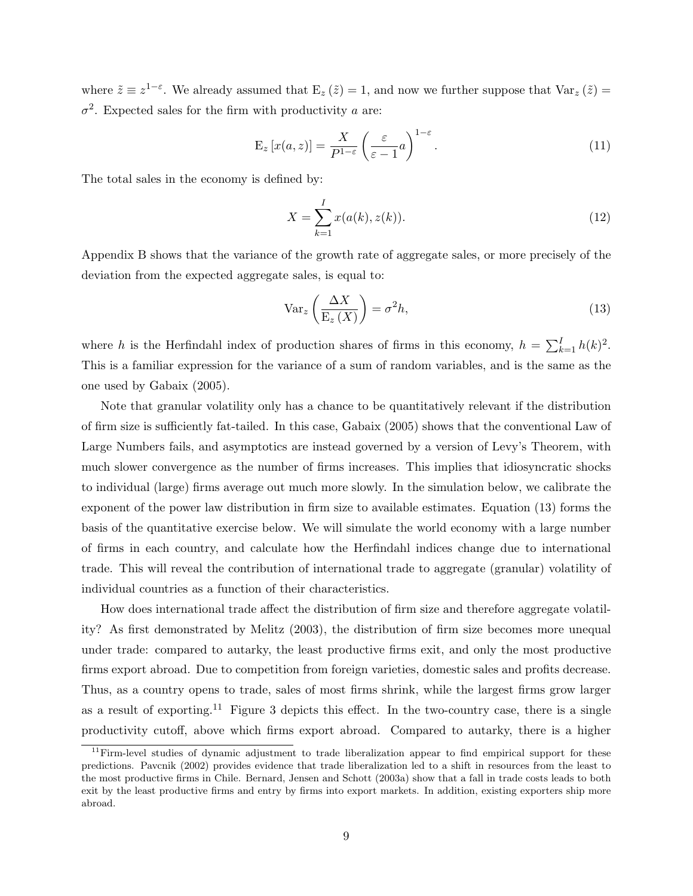where  $\tilde{z} \equiv z^{1-\varepsilon}$ . We already assumed that  $E_z(\tilde{z}) = 1$ , and now we further suppose that  $Var_z(\tilde{z}) =$  $\sigma^2$ . Expected sales for the firm with productivity a are:

$$
E_z[x(a,z)] = \frac{X}{P^{1-\varepsilon}} \left(\frac{\varepsilon}{\varepsilon - 1}a\right)^{1-\varepsilon}.
$$
\n(11)

The total sales in the economy is defined by:

$$
X = \sum_{k=1}^{I} x(a(k), z(k)).
$$
\n(12)

Appendix B shows that the variance of the growth rate of aggregate sales, or more precisely of the deviation from the expected aggregate sales, is equal to:

$$
\text{Var}_z\left(\frac{\Delta X}{\mathcal{E}_z(X)}\right) = \sigma^2 h,\tag{13}
$$

where h is the Herfindahl index of production shares of firms in this economy,  $h = \sum_{k=1}^{I} h(k)^2$ . This is a familiar expression for the variance of a sum of random variables, and is the same as the one used by Gabaix (2005).

Note that granular volatility only has a chance to be quantitatively relevant if the distribution of firm size is sufficiently fat-tailed. In this case, Gabaix (2005) shows that the conventional Law of Large Numbers fails, and asymptotics are instead governed by a version of Levy's Theorem, with much slower convergence as the number of firms increases. This implies that idiosyncratic shocks to individual (large) firms average out much more slowly. In the simulation below, we calibrate the exponent of the power law distribution in firm size to available estimates. Equation (13) forms the basis of the quantitative exercise below. We will simulate the world economy with a large number of firms in each country, and calculate how the Herfindahl indices change due to international trade. This will reveal the contribution of international trade to aggregate (granular) volatility of individual countries as a function of their characteristics.

How does international trade affect the distribution of firm size and therefore aggregate volatility? As first demonstrated by Melitz (2003), the distribution of firm size becomes more unequal under trade: compared to autarky, the least productive firms exit, and only the most productive firms export abroad. Due to competition from foreign varieties, domestic sales and profits decrease. Thus, as a country opens to trade, sales of most firms shrink, while the largest firms grow larger as a result of exporting.<sup>11</sup> Figure 3 depicts this effect. In the two-country case, there is a single productivity cutoff, above which firms export abroad. Compared to autarky, there is a higher

<sup>&</sup>lt;sup>11</sup>Firm-level studies of dynamic adjustment to trade liberalization appear to find empirical support for these predictions. Pavcnik (2002) provides evidence that trade liberalization led to a shift in resources from the least to the most productive firms in Chile. Bernard, Jensen and Schott (2003a) show that a fall in trade costs leads to both exit by the least productive firms and entry by firms into export markets. In addition, existing exporters ship more abroad.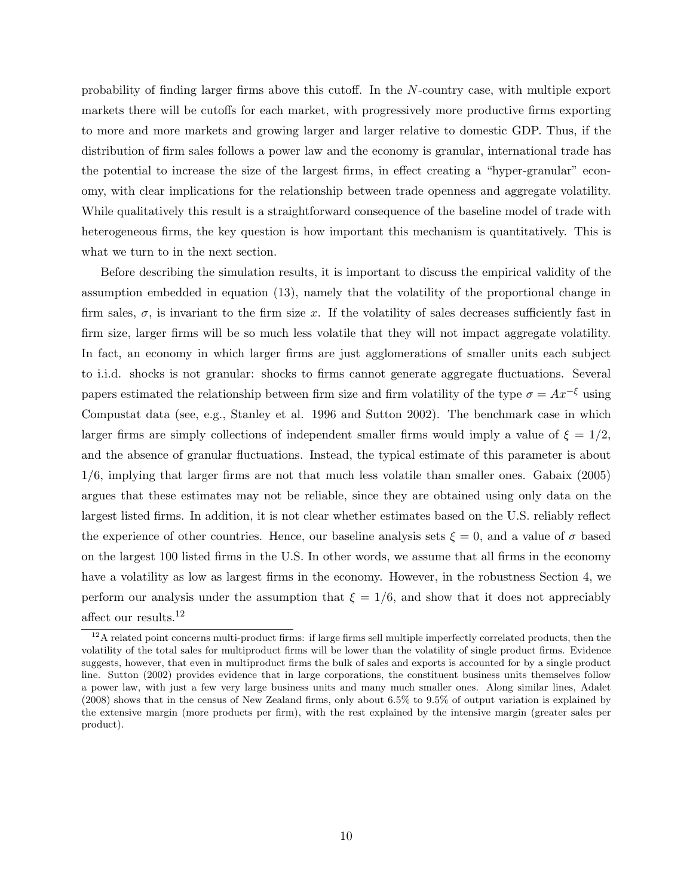probability of finding larger firms above this cutoff. In the N-country case, with multiple export markets there will be cutoffs for each market, with progressively more productive firms exporting to more and more markets and growing larger and larger relative to domestic GDP. Thus, if the distribution of firm sales follows a power law and the economy is granular, international trade has the potential to increase the size of the largest firms, in effect creating a "hyper-granular" economy, with clear implications for the relationship between trade openness and aggregate volatility. While qualitatively this result is a straightforward consequence of the baseline model of trade with heterogeneous firms, the key question is how important this mechanism is quantitatively. This is what we turn to in the next section.

Before describing the simulation results, it is important to discuss the empirical validity of the assumption embedded in equation (13), namely that the volatility of the proportional change in firm sales,  $\sigma$ , is invariant to the firm size x. If the volatility of sales decreases sufficiently fast in firm size, larger firms will be so much less volatile that they will not impact aggregate volatility. In fact, an economy in which larger firms are just agglomerations of smaller units each subject to i.i.d. shocks is not granular: shocks to firms cannot generate aggregate fluctuations. Several papers estimated the relationship between firm size and firm volatility of the type  $\sigma = Ax^{-\xi}$  using Compustat data (see, e.g., Stanley et al. 1996 and Sutton 2002). The benchmark case in which larger firms are simply collections of independent smaller firms would imply a value of  $\xi = 1/2$ , and the absence of granular fluctuations. Instead, the typical estimate of this parameter is about 1/6, implying that larger firms are not that much less volatile than smaller ones. Gabaix (2005) argues that these estimates may not be reliable, since they are obtained using only data on the largest listed firms. In addition, it is not clear whether estimates based on the U.S. reliably reflect the experience of other countries. Hence, our baseline analysis sets  $\xi = 0$ , and a value of  $\sigma$  based on the largest 100 listed firms in the U.S. In other words, we assume that all firms in the economy have a volatility as low as largest firms in the economy. However, in the robustness Section 4, we perform our analysis under the assumption that  $\xi = 1/6$ , and show that it does not appreciably affect our results.  $^{12}$ 

 $12A$  related point concerns multi-product firms: if large firms sell multiple imperfectly correlated products, then the volatility of the total sales for multiproduct firms will be lower than the volatility of single product firms. Evidence suggests, however, that even in multiproduct firms the bulk of sales and exports is accounted for by a single product line. Sutton (2002) provides evidence that in large corporations, the constituent business units themselves follow a power law, with just a few very large business units and many much smaller ones. Along similar lines, Adalet (2008) shows that in the census of New Zealand firms, only about 6.5% to 9.5% of output variation is explained by the extensive margin (more products per firm), with the rest explained by the intensive margin (greater sales per product).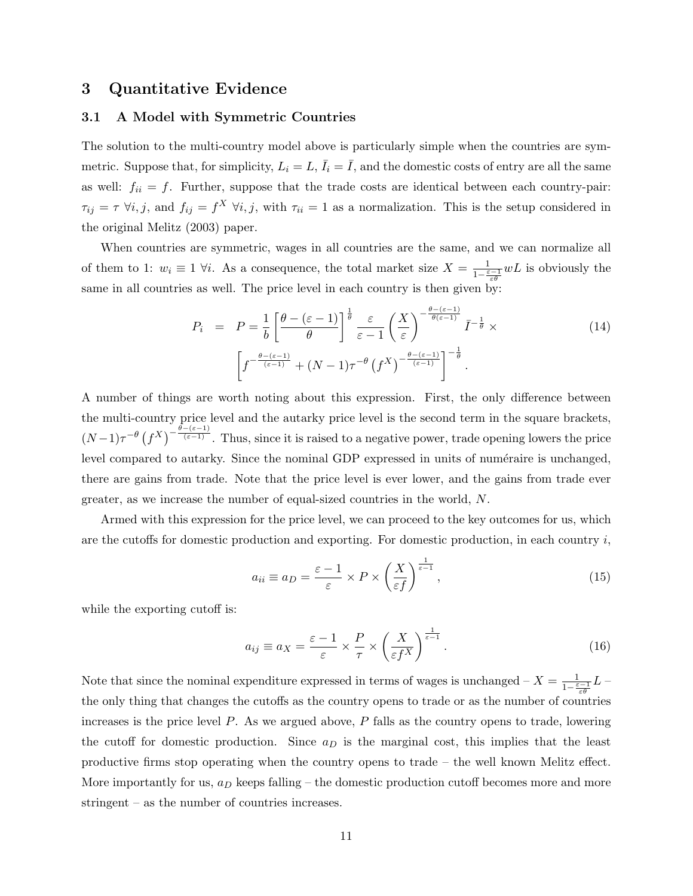## 3 Quantitative Evidence

### 3.1 A Model with Symmetric Countries

The solution to the multi-country model above is particularly simple when the countries are symmetric. Suppose that, for simplicity,  $L_i = L, \bar{I}_i = \bar{I}$ , and the domestic costs of entry are all the same as well:  $f_{ii} = f$ . Further, suppose that the trade costs are identical between each country-pair:  $\tau_{ij} = \tau \; \forall i, j$ , and  $f_{ij} = f^X \; \forall i, j$ , with  $\tau_{ii} = 1$  as a normalization. This is the setup considered in the original Melitz (2003) paper.

When countries are symmetric, wages in all countries are the same, and we can normalize all of them to 1:  $w_i \equiv 1 \; \forall i$ . As a consequence, the total market size  $X = \frac{1}{1-\epsilon}$  $\frac{1}{1-\frac{\varepsilon-1}{\varepsilon\theta}}wL$  is obviously the same in all countries as well. The price level in each country is then given by:

$$
P_i = P = \frac{1}{b} \left[ \frac{\theta - (\varepsilon - 1)}{\theta} \right]^{\frac{1}{\theta}} \frac{\varepsilon}{\varepsilon - 1} \left( \frac{X}{\varepsilon} \right)^{-\frac{\theta - (\varepsilon - 1)}{\theta(\varepsilon - 1)}} \bar{I}^{-\frac{1}{\theta}} \times \left[ f^{-\frac{\theta - (\varepsilon - 1)}{(\varepsilon - 1)}} + (N - 1)\tau^{-\theta} \left( f^{X} \right)^{-\frac{\theta - (\varepsilon - 1)}{(\varepsilon - 1)}} \right]^{-\frac{1}{\theta}}.
$$
\n(14)

A number of things are worth noting about this expression. First, the only difference between the multi-country price level and the autarky price level is the second term in the square brackets,  $(N-1)\tau^{-\theta}\left(f^X\right)^{-\frac{\theta-(\varepsilon-1)}{(\varepsilon-1)}}$ . Thus, since it is raised to a negative power, trade opening lowers the price level compared to autarky. Since the nominal GDP expressed in units of numéraire is unchanged, there are gains from trade. Note that the price level is ever lower, and the gains from trade ever greater, as we increase the number of equal-sized countries in the world, N.

Armed with this expression for the price level, we can proceed to the key outcomes for us, which are the cutoffs for domestic production and exporting. For domestic production, in each country  $i$ ,

$$
a_{ii} \equiv a_D = \frac{\varepsilon - 1}{\varepsilon} \times P \times \left(\frac{X}{\varepsilon f}\right)^{\frac{1}{\varepsilon - 1}},\tag{15}
$$

while the exporting cutoff is:

$$
a_{ij} \equiv a_X = \frac{\varepsilon - 1}{\varepsilon} \times \frac{P}{\tau} \times \left(\frac{X}{\varepsilon f^X}\right)^{\frac{1}{\varepsilon - 1}}.\tag{16}
$$

Note that since the nominal expenditure expressed in terms of wages is unchanged  $-X = \frac{1}{1-\varepsilon}$  $\frac{1}{1-\frac{\varepsilon-1}{\varepsilon\theta}}L$  – the only thing that changes the cutoffs as the country opens to trade or as the number of countries increases is the price level  $P$ . As we argued above,  $P$  falls as the country opens to trade, lowering the cutoff for domestic production. Since  $a_D$  is the marginal cost, this implies that the least productive firms stop operating when the country opens to trade – the well known Melitz effect. More importantly for us,  $a_D$  keeps falling – the domestic production cutoff becomes more and more stringent – as the number of countries increases.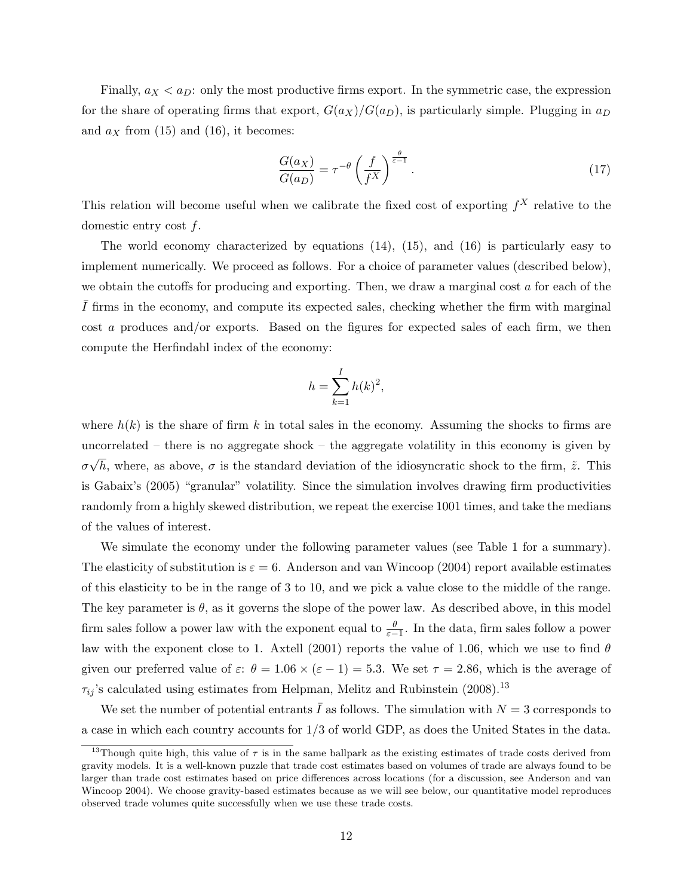Finally,  $a_X < a_D$ : only the most productive firms export. In the symmetric case, the expression for the share of operating firms that export,  $G(a_X)/G(a_D)$ , is particularly simple. Plugging in  $a_D$ and  $a_X$  from (15) and (16), it becomes:

$$
\frac{G(a_X)}{G(a_D)} = \tau^{-\theta} \left(\frac{f}{f^X}\right)^{\frac{\theta}{\varepsilon - 1}}.\tag{17}
$$

This relation will become useful when we calibrate the fixed cost of exporting  $f^X$  relative to the domestic entry cost f.

The world economy characterized by equations (14), (15), and (16) is particularly easy to implement numerically. We proceed as follows. For a choice of parameter values (described below), we obtain the cutoffs for producing and exporting. Then, we draw a marginal cost a for each of the I firms in the economy, and compute its expected sales, checking whether the firm with marginal cost a produces and/or exports. Based on the figures for expected sales of each firm, we then compute the Herfindahl index of the economy:

$$
h = \sum_{k=1}^{I} h(k)^2,
$$

where  $h(k)$  is the share of firm k in total sales in the economy. Assuming the shocks to firms are uncorrelated – there is no aggregate shock – the aggregate volatility in this economy is given by σ √ h, where, as above,  $\sigma$  is the standard deviation of the idiosyncratic shock to the firm,  $\tilde{z}$ . This is Gabaix's (2005) "granular" volatility. Since the simulation involves drawing firm productivities randomly from a highly skewed distribution, we repeat the exercise 1001 times, and take the medians of the values of interest.

We simulate the economy under the following parameter values (see Table 1 for a summary). The elasticity of substitution is  $\varepsilon = 6$ . Anderson and van Wincoop (2004) report available estimates of this elasticity to be in the range of 3 to 10, and we pick a value close to the middle of the range. The key parameter is  $\theta$ , as it governs the slope of the power law. As described above, in this model firm sales follow a power law with the exponent equal to  $\frac{\theta}{\varepsilon-1}$ . In the data, firm sales follow a power law with the exponent close to 1. Axtell (2001) reports the value of 1.06, which we use to find  $\theta$ given our preferred value of  $\varepsilon$ :  $\theta = 1.06 \times (\varepsilon - 1) = 5.3$ . We set  $\tau = 2.86$ , which is the average of  $\tau_{ij}$ 's calculated using estimates from Helpman, Melitz and Rubinstein (2008).<sup>13</sup>

We set the number of potential entrants  $\overline{I}$  as follows. The simulation with  $N = 3$  corresponds to a case in which each country accounts for 1/3 of world GDP, as does the United States in the data.

<sup>&</sup>lt;sup>13</sup>Though quite high, this value of  $\tau$  is in the same ballpark as the existing estimates of trade costs derived from gravity models. It is a well-known puzzle that trade cost estimates based on volumes of trade are always found to be larger than trade cost estimates based on price differences across locations (for a discussion, see Anderson and van Wincoop 2004). We choose gravity-based estimates because as we will see below, our quantitative model reproduces observed trade volumes quite successfully when we use these trade costs.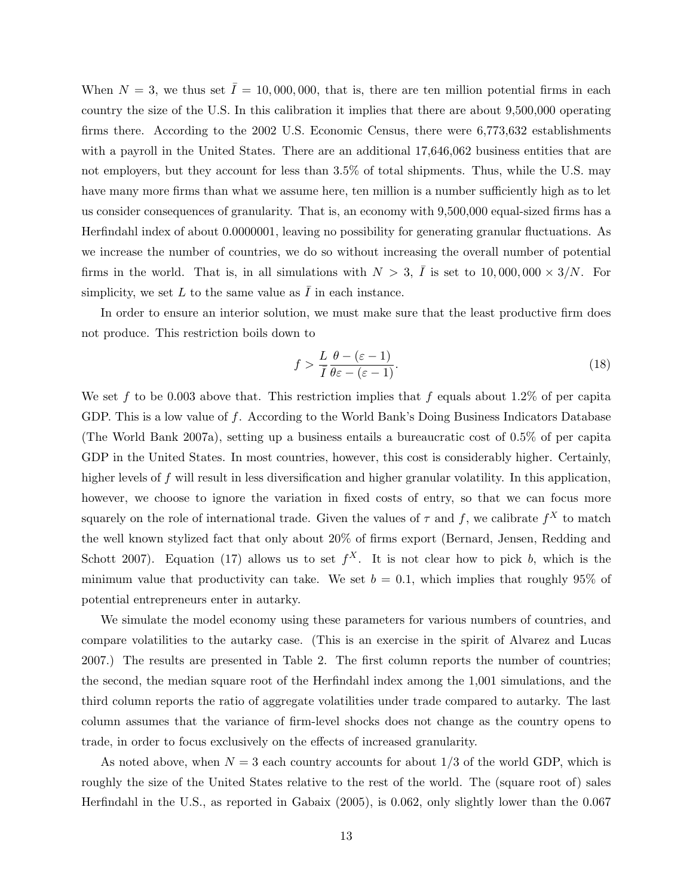When  $N = 3$ , we thus set  $\overline{I} = 10,000,000$ , that is, there are ten million potential firms in each country the size of the U.S. In this calibration it implies that there are about 9,500,000 operating firms there. According to the 2002 U.S. Economic Census, there were 6,773,632 establishments with a payroll in the United States. There are an additional 17,646,062 business entities that are not employers, but they account for less than 3.5% of total shipments. Thus, while the U.S. may have many more firms than what we assume here, ten million is a number sufficiently high as to let us consider consequences of granularity. That is, an economy with 9,500,000 equal-sized firms has a Herfindahl index of about 0.0000001, leaving no possibility for generating granular fluctuations. As we increase the number of countries, we do so without increasing the overall number of potential firms in the world. That is, in all simulations with  $N > 3$ ,  $\overline{I}$  is set to 10,000,000  $\times$  3/N. For simplicity, we set L to the same value as  $\overline{I}$  in each instance.

In order to ensure an interior solution, we must make sure that the least productive firm does not produce. This restriction boils down to

$$
f > \frac{L}{\bar{I}} \frac{\theta - (\varepsilon - 1)}{\theta \varepsilon - (\varepsilon - 1)}.
$$
\n(18)

We set f to be 0.003 above that. This restriction implies that f equals about 1.2% of per capita GDP. This is a low value of f. According to the World Bank's Doing Business Indicators Database (The World Bank 2007a), setting up a business entails a bureaucratic cost of 0.5% of per capita GDP in the United States. In most countries, however, this cost is considerably higher. Certainly, higher levels of f will result in less diversification and higher granular volatility. In this application, however, we choose to ignore the variation in fixed costs of entry, so that we can focus more squarely on the role of international trade. Given the values of  $\tau$  and  $f$ , we calibrate  $f^X$  to match the well known stylized fact that only about 20% of firms export (Bernard, Jensen, Redding and Schott 2007). Equation (17) allows us to set  $f^X$ . It is not clear how to pick b, which is the minimum value that productivity can take. We set  $b = 0.1$ , which implies that roughly 95% of potential entrepreneurs enter in autarky.

We simulate the model economy using these parameters for various numbers of countries, and compare volatilities to the autarky case. (This is an exercise in the spirit of Alvarez and Lucas 2007.) The results are presented in Table 2. The first column reports the number of countries; the second, the median square root of the Herfindahl index among the 1,001 simulations, and the third column reports the ratio of aggregate volatilities under trade compared to autarky. The last column assumes that the variance of firm-level shocks does not change as the country opens to trade, in order to focus exclusively on the effects of increased granularity.

As noted above, when  $N = 3$  each country accounts for about  $1/3$  of the world GDP, which is roughly the size of the United States relative to the rest of the world. The (square root of) sales Herfindahl in the U.S., as reported in Gabaix (2005), is 0.062, only slightly lower than the 0.067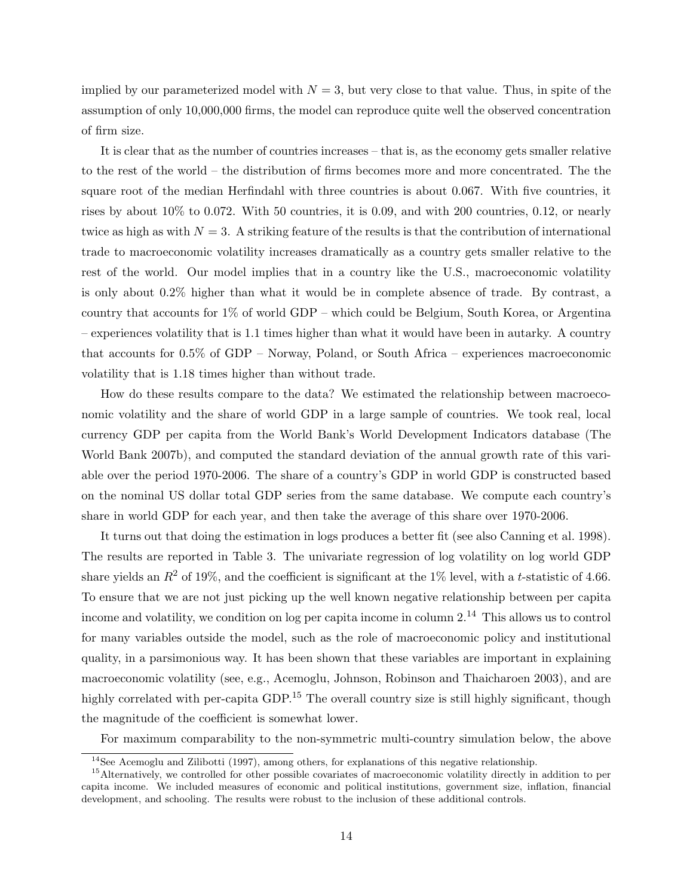implied by our parameterized model with  $N = 3$ , but very close to that value. Thus, in spite of the assumption of only 10,000,000 firms, the model can reproduce quite well the observed concentration of firm size.

It is clear that as the number of countries increases – that is, as the economy gets smaller relative to the rest of the world – the distribution of firms becomes more and more concentrated. The the square root of the median Herfindahl with three countries is about 0.067. With five countries, it rises by about 10% to 0.072. With 50 countries, it is 0.09, and with 200 countries, 0.12, or nearly twice as high as with  $N = 3$ . A striking feature of the results is that the contribution of international trade to macroeconomic volatility increases dramatically as a country gets smaller relative to the rest of the world. Our model implies that in a country like the U.S., macroeconomic volatility is only about 0.2% higher than what it would be in complete absence of trade. By contrast, a country that accounts for 1% of world GDP – which could be Belgium, South Korea, or Argentina – experiences volatility that is 1.1 times higher than what it would have been in autarky. A country that accounts for 0.5% of GDP – Norway, Poland, or South Africa – experiences macroeconomic volatility that is 1.18 times higher than without trade.

How do these results compare to the data? We estimated the relationship between macroeconomic volatility and the share of world GDP in a large sample of countries. We took real, local currency GDP per capita from the World Bank's World Development Indicators database (The World Bank 2007b), and computed the standard deviation of the annual growth rate of this variable over the period 1970-2006. The share of a country's GDP in world GDP is constructed based on the nominal US dollar total GDP series from the same database. We compute each country's share in world GDP for each year, and then take the average of this share over 1970-2006.

It turns out that doing the estimation in logs produces a better fit (see also Canning et al. 1998). The results are reported in Table 3. The univariate regression of log volatility on log world GDP share yields an  $R^2$  of 19%, and the coefficient is significant at the 1% level, with a t-statistic of 4.66. To ensure that we are not just picking up the well known negative relationship between per capita income and volatility, we condition on log per capita income in column  $2^{14}$ . This allows us to control for many variables outside the model, such as the role of macroeconomic policy and institutional quality, in a parsimonious way. It has been shown that these variables are important in explaining macroeconomic volatility (see, e.g., Acemoglu, Johnson, Robinson and Thaicharoen 2003), and are highly correlated with per-capita GDP.<sup>15</sup> The overall country size is still highly significant, though the magnitude of the coefficient is somewhat lower.

For maximum comparability to the non-symmetric multi-country simulation below, the above

<sup>&</sup>lt;sup>14</sup>See Acemoglu and Zilibotti (1997), among others, for explanations of this negative relationship.

<sup>&</sup>lt;sup>15</sup>Alternatively, we controlled for other possible covariates of macroeconomic volatility directly in addition to per capita income. We included measures of economic and political institutions, government size, inflation, financial development, and schooling. The results were robust to the inclusion of these additional controls.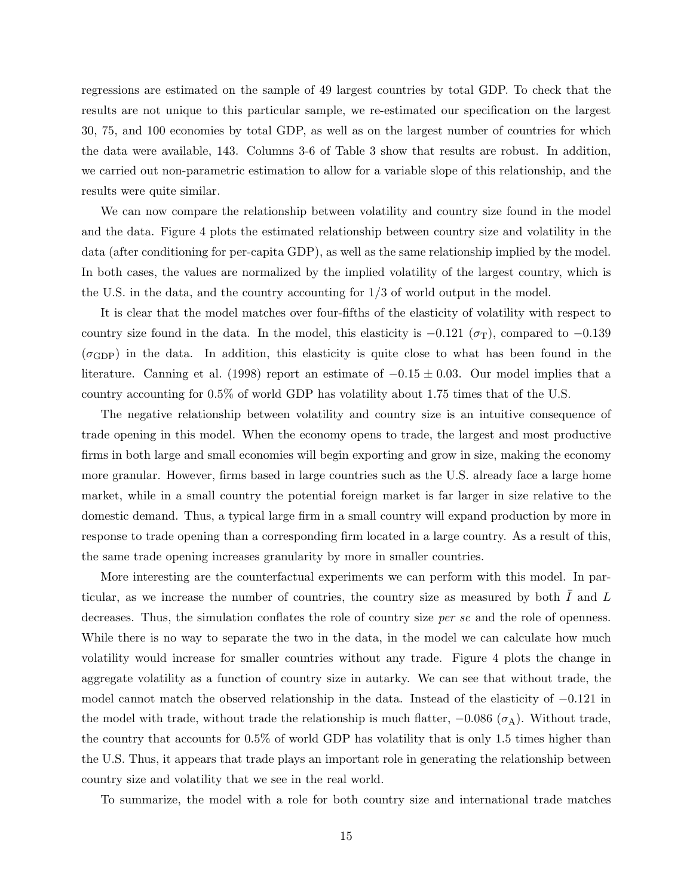regressions are estimated on the sample of 49 largest countries by total GDP. To check that the results are not unique to this particular sample, we re-estimated our specification on the largest 30, 75, and 100 economies by total GDP, as well as on the largest number of countries for which the data were available, 143. Columns 3-6 of Table 3 show that results are robust. In addition, we carried out non-parametric estimation to allow for a variable slope of this relationship, and the results were quite similar.

We can now compare the relationship between volatility and country size found in the model and the data. Figure 4 plots the estimated relationship between country size and volatility in the data (after conditioning for per-capita GDP), as well as the same relationship implied by the model. In both cases, the values are normalized by the implied volatility of the largest country, which is the U.S. in the data, and the country accounting for 1/3 of world output in the model.

It is clear that the model matches over four-fifths of the elasticity of volatility with respect to country size found in the data. In the model, this elasticity is  $-0.121$  ( $\sigma$ T), compared to  $-0.139$  $(\sigma_{\text{GDP}})$  in the data. In addition, this elasticity is quite close to what has been found in the literature. Canning et al. (1998) report an estimate of  $-0.15 \pm 0.03$ . Our model implies that a country accounting for 0.5% of world GDP has volatility about 1.75 times that of the U.S.

The negative relationship between volatility and country size is an intuitive consequence of trade opening in this model. When the economy opens to trade, the largest and most productive firms in both large and small economies will begin exporting and grow in size, making the economy more granular. However, firms based in large countries such as the U.S. already face a large home market, while in a small country the potential foreign market is far larger in size relative to the domestic demand. Thus, a typical large firm in a small country will expand production by more in response to trade opening than a corresponding firm located in a large country. As a result of this, the same trade opening increases granularity by more in smaller countries.

More interesting are the counterfactual experiments we can perform with this model. In particular, as we increase the number of countries, the country size as measured by both  $I$  and  $L$ decreases. Thus, the simulation conflates the role of country size *per se* and the role of openness. While there is no way to separate the two in the data, in the model we can calculate how much volatility would increase for smaller countries without any trade. Figure 4 plots the change in aggregate volatility as a function of country size in autarky. We can see that without trade, the model cannot match the observed relationship in the data. Instead of the elasticity of −0.121 in the model with trade, without trade the relationship is much flatter,  $-0.086$  ( $\sigma$ A). Without trade, the country that accounts for 0.5% of world GDP has volatility that is only 1.5 times higher than the U.S. Thus, it appears that trade plays an important role in generating the relationship between country size and volatility that we see in the real world.

To summarize, the model with a role for both country size and international trade matches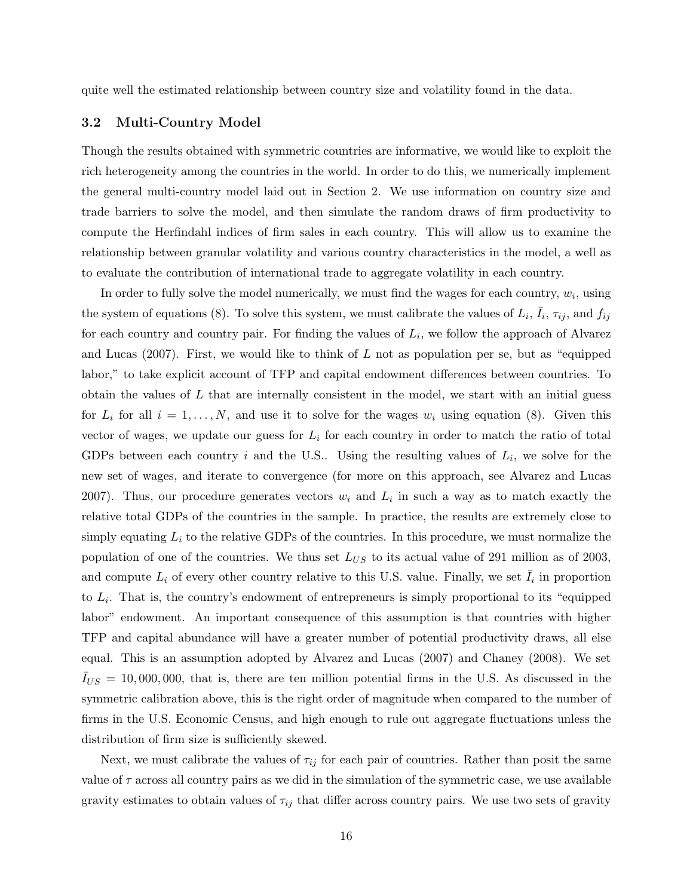quite well the estimated relationship between country size and volatility found in the data.

#### 3.2 Multi-Country Model

Though the results obtained with symmetric countries are informative, we would like to exploit the rich heterogeneity among the countries in the world. In order to do this, we numerically implement the general multi-country model laid out in Section 2. We use information on country size and trade barriers to solve the model, and then simulate the random draws of firm productivity to compute the Herfindahl indices of firm sales in each country. This will allow us to examine the relationship between granular volatility and various country characteristics in the model, a well as to evaluate the contribution of international trade to aggregate volatility in each country.

In order to fully solve the model numerically, we must find the wages for each country,  $w_i$ , using the system of equations (8). To solve this system, we must calibrate the values of  $L_i$ ,  $\bar{I}_i$ ,  $\tau_{ij}$ , and  $f_{ij}$ for each country and country pair. For finding the values of  $L_i$ , we follow the approach of Alvarez and Lucas  $(2007)$ . First, we would like to think of L not as population per se, but as "equipped labor," to take explicit account of TFP and capital endowment differences between countries. To obtain the values of  $L$  that are internally consistent in the model, we start with an initial guess for  $L_i$  for all  $i = 1, ..., N$ , and use it to solve for the wages  $w_i$  using equation (8). Given this vector of wages, we update our guess for  $L_i$  for each country in order to match the ratio of total GDPs between each country i and the U.S.. Using the resulting values of  $L_i$ , we solve for the new set of wages, and iterate to convergence (for more on this approach, see Alvarez and Lucas 2007). Thus, our procedure generates vectors  $w_i$  and  $L_i$  in such a way as to match exactly the relative total GDPs of the countries in the sample. In practice, the results are extremely close to simply equating  $L_i$  to the relative GDPs of the countries. In this procedure, we must normalize the population of one of the countries. We thus set  $L_{US}$  to its actual value of 291 million as of 2003, and compute  $L_i$  of every other country relative to this U.S. value. Finally, we set  $\overline{I}_i$  in proportion to  $L_i$ . That is, the country's endowment of entrepreneurs is simply proportional to its "equipped labor" endowment. An important consequence of this assumption is that countries with higher TFP and capital abundance will have a greater number of potential productivity draws, all else equal. This is an assumption adopted by Alvarez and Lucas (2007) and Chaney (2008). We set  $I_{US} = 10,000,000$ , that is, there are ten million potential firms in the U.S. As discussed in the symmetric calibration above, this is the right order of magnitude when compared to the number of firms in the U.S. Economic Census, and high enough to rule out aggregate fluctuations unless the distribution of firm size is sufficiently skewed.

Next, we must calibrate the values of  $\tau_{ij}$  for each pair of countries. Rather than posit the same value of  $\tau$  across all country pairs as we did in the simulation of the symmetric case, we use available gravity estimates to obtain values of  $\tau_{ij}$  that differ across country pairs. We use two sets of gravity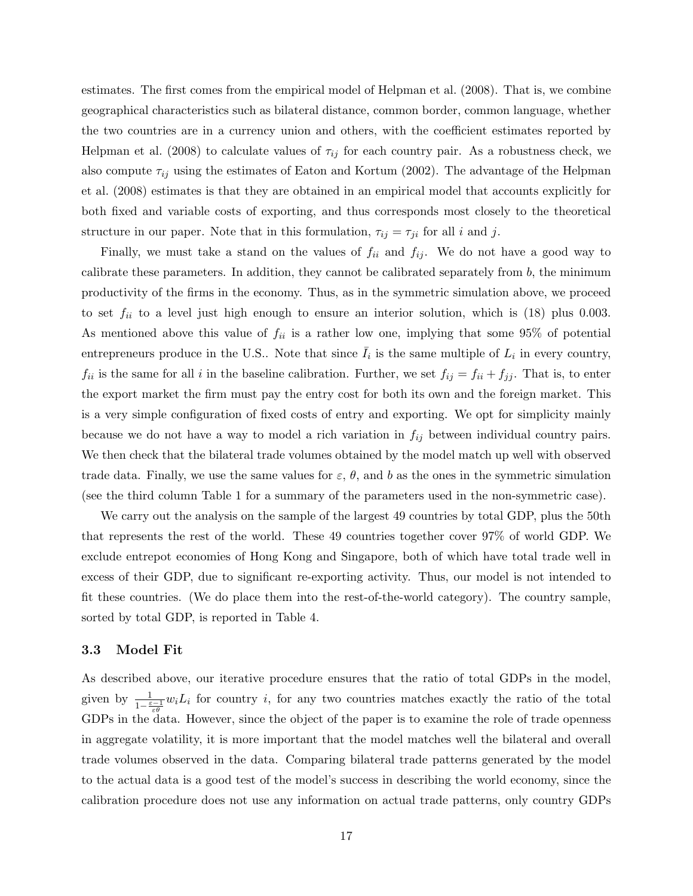estimates. The first comes from the empirical model of Helpman et al. (2008). That is, we combine geographical characteristics such as bilateral distance, common border, common language, whether the two countries are in a currency union and others, with the coefficient estimates reported by Helpman et al. (2008) to calculate values of  $\tau_{ij}$  for each country pair. As a robustness check, we also compute  $\tau_{ij}$  using the estimates of Eaton and Kortum (2002). The advantage of the Helpman et al. (2008) estimates is that they are obtained in an empirical model that accounts explicitly for both fixed and variable costs of exporting, and thus corresponds most closely to the theoretical structure in our paper. Note that in this formulation,  $\tau_{ij} = \tau_{ji}$  for all i and j.

Finally, we must take a stand on the values of  $f_{ii}$  and  $f_{ij}$ . We do not have a good way to calibrate these parameters. In addition, they cannot be calibrated separately from  $b$ , the minimum productivity of the firms in the economy. Thus, as in the symmetric simulation above, we proceed to set  $f_{ii}$  to a level just high enough to ensure an interior solution, which is (18) plus 0.003. As mentioned above this value of  $f_{ii}$  is a rather low one, implying that some 95% of potential entrepreneurs produce in the U.S.. Note that since  $\overline{I}_i$  is the same multiple of  $L_i$  in every country,  $f_{ii}$  is the same for all i in the baseline calibration. Further, we set  $f_{ij} = f_{ii} + f_{jj}$ . That is, to enter the export market the firm must pay the entry cost for both its own and the foreign market. This is a very simple configuration of fixed costs of entry and exporting. We opt for simplicity mainly because we do not have a way to model a rich variation in  $f_{ij}$  between individual country pairs. We then check that the bilateral trade volumes obtained by the model match up well with observed trade data. Finally, we use the same values for  $\varepsilon$ ,  $\theta$ , and b as the ones in the symmetric simulation (see the third column Table 1 for a summary of the parameters used in the non-symmetric case).

We carry out the analysis on the sample of the largest 49 countries by total GDP, plus the 50th that represents the rest of the world. These 49 countries together cover 97% of world GDP. We exclude entrepot economies of Hong Kong and Singapore, both of which have total trade well in excess of their GDP, due to significant re-exporting activity. Thus, our model is not intended to fit these countries. (We do place them into the rest-of-the-world category). The country sample, sorted by total GDP, is reported in Table 4.

#### 3.3 Model Fit

As described above, our iterative procedure ensures that the ratio of total GDPs in the model, given by  $\frac{1}{1-\frac{\varepsilon-1}{\varepsilon\theta}}w_iL_i$  for country *i*, for any two countries matches exactly the ratio of the total GDPs in the data. However, since the object of the paper is to examine the role of trade openness in aggregate volatility, it is more important that the model matches well the bilateral and overall trade volumes observed in the data. Comparing bilateral trade patterns generated by the model to the actual data is a good test of the model's success in describing the world economy, since the calibration procedure does not use any information on actual trade patterns, only country GDPs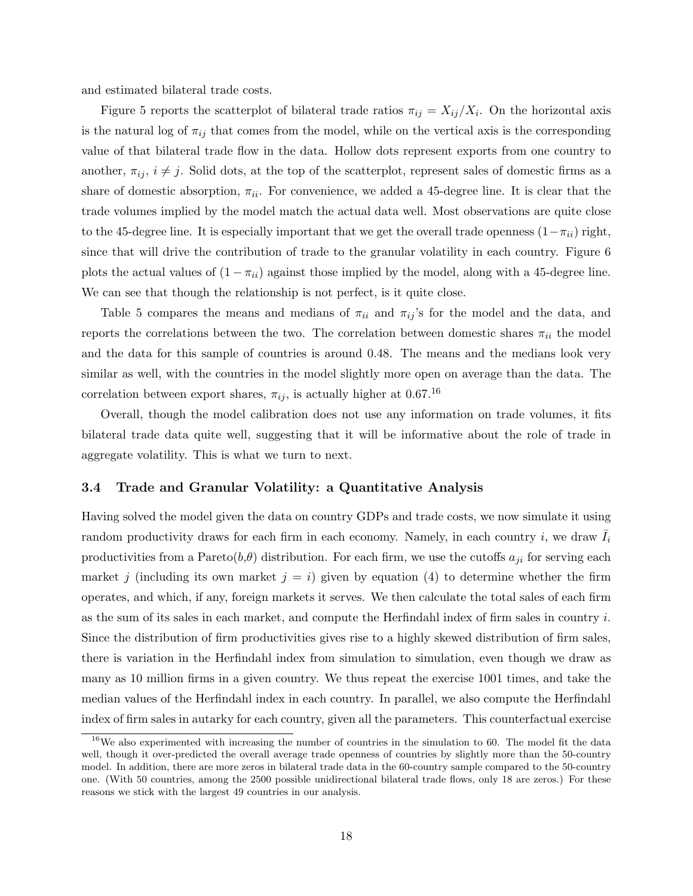and estimated bilateral trade costs.

Figure 5 reports the scatterplot of bilateral trade ratios  $\pi_{ij} = X_{ij}/X_i$ . On the horizontal axis is the natural log of  $\pi_{ij}$  that comes from the model, while on the vertical axis is the corresponding value of that bilateral trade flow in the data. Hollow dots represent exports from one country to another,  $\pi_{ij}$ ,  $i \neq j$ . Solid dots, at the top of the scatterplot, represent sales of domestic firms as a share of domestic absorption,  $\pi_{ii}$ . For convenience, we added a 45-degree line. It is clear that the trade volumes implied by the model match the actual data well. Most observations are quite close to the 45-degree line. It is especially important that we get the overall trade openness  $(1-\pi_{ii})$  right, since that will drive the contribution of trade to the granular volatility in each country. Figure 6 plots the actual values of  $(1 - \pi_{ii})$  against those implied by the model, along with a 45-degree line. We can see that though the relationship is not perfect, is it quite close.

Table 5 compares the means and medians of  $\pi_{ii}$  and  $\pi_{ij}$ 's for the model and the data, and reports the correlations between the two. The correlation between domestic shares  $\pi_{ii}$  the model and the data for this sample of countries is around 0.48. The means and the medians look very similar as well, with the countries in the model slightly more open on average than the data. The correlation between export shares,  $\pi_{ij}$ , is actually higher at 0.67.<sup>16</sup>

Overall, though the model calibration does not use any information on trade volumes, it fits bilateral trade data quite well, suggesting that it will be informative about the role of trade in aggregate volatility. This is what we turn to next.

### 3.4 Trade and Granular Volatility: a Quantitative Analysis

Having solved the model given the data on country GDPs and trade costs, we now simulate it using random productivity draws for each firm in each economy. Namely, in each country i, we draw  $\overline{I}_i$ productivities from a Pareto $(b, \theta)$  distribution. For each firm, we use the cutoffs  $a_{ji}$  for serving each market j (including its own market  $j = i$ ) given by equation (4) to determine whether the firm operates, and which, if any, foreign markets it serves. We then calculate the total sales of each firm as the sum of its sales in each market, and compute the Herfindahl index of firm sales in country  $i$ . Since the distribution of firm productivities gives rise to a highly skewed distribution of firm sales, there is variation in the Herfindahl index from simulation to simulation, even though we draw as many as 10 million firms in a given country. We thus repeat the exercise 1001 times, and take the median values of the Herfindahl index in each country. In parallel, we also compute the Herfindahl index of firm sales in autarky for each country, given all the parameters. This counterfactual exercise

<sup>&</sup>lt;sup>16</sup>We also experimented with increasing the number of countries in the simulation to 60. The model fit the data well, though it over-predicted the overall average trade openness of countries by slightly more than the 50-country model. In addition, there are more zeros in bilateral trade data in the 60-country sample compared to the 50-country one. (With 50 countries, among the 2500 possible unidirectional bilateral trade flows, only 18 are zeros.) For these reasons we stick with the largest 49 countries in our analysis.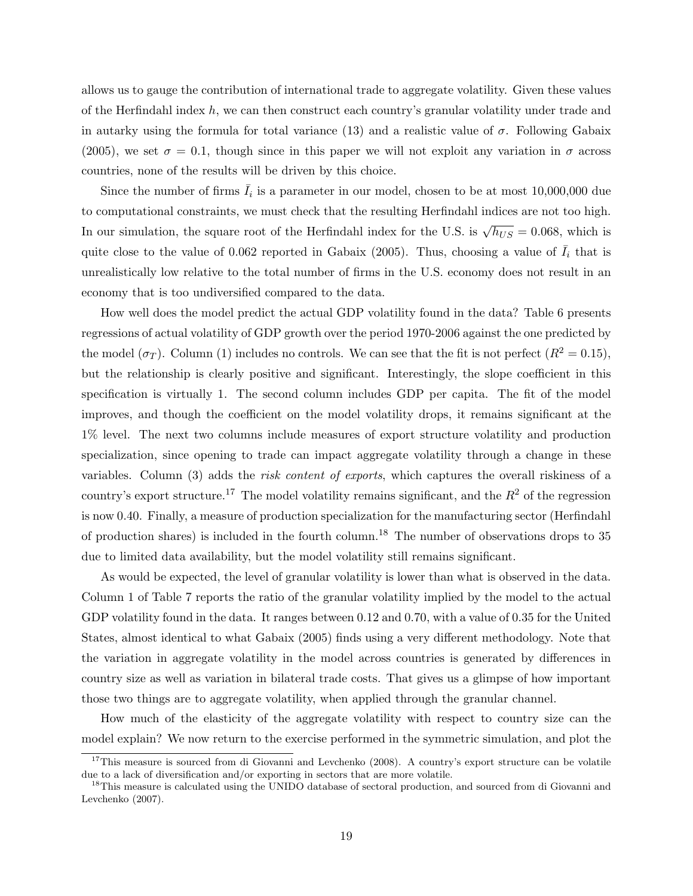allows us to gauge the contribution of international trade to aggregate volatility. Given these values of the Herfindahl index  $h$ , we can then construct each country's granular volatility under trade and in autarky using the formula for total variance (13) and a realistic value of  $\sigma$ . Following Gabaix (2005), we set  $\sigma = 0.1$ , though since in this paper we will not exploit any variation in  $\sigma$  across countries, none of the results will be driven by this choice.

Since the number of firms  $\bar{I}_i$  is a parameter in our model, chosen to be at most 10,000,000 due to computational constraints, we must check that the resulting Herfindahl indices are not too high. In our simulation, the square root of the Herfindahl index for the U.S. is  $\sqrt{h_{US}} = 0.068$ , which is quite close to the value of 0.062 reported in Gabaix (2005). Thus, choosing a value of  $\bar{I}_i$  that is unrealistically low relative to the total number of firms in the U.S. economy does not result in an economy that is too undiversified compared to the data.

How well does the model predict the actual GDP volatility found in the data? Table 6 presents regressions of actual volatility of GDP growth over the period 1970-2006 against the one predicted by the model ( $\sigma_T$ ). Column (1) includes no controls. We can see that the fit is not perfect ( $R^2 = 0.15$ ), but the relationship is clearly positive and significant. Interestingly, the slope coefficient in this specification is virtually 1. The second column includes GDP per capita. The fit of the model improves, and though the coefficient on the model volatility drops, it remains significant at the 1% level. The next two columns include measures of export structure volatility and production specialization, since opening to trade can impact aggregate volatility through a change in these variables. Column (3) adds the risk content of exports, which captures the overall riskiness of a country's export structure.<sup>17</sup> The model volatility remains significant, and the  $R^2$  of the regression is now 0.40. Finally, a measure of production specialization for the manufacturing sector (Herfindahl of production shares) is included in the fourth column.<sup>18</sup> The number of observations drops to  $35$ due to limited data availability, but the model volatility still remains significant.

As would be expected, the level of granular volatility is lower than what is observed in the data. Column 1 of Table 7 reports the ratio of the granular volatility implied by the model to the actual GDP volatility found in the data. It ranges between 0.12 and 0.70, with a value of 0.35 for the United States, almost identical to what Gabaix (2005) finds using a very different methodology. Note that the variation in aggregate volatility in the model across countries is generated by differences in country size as well as variation in bilateral trade costs. That gives us a glimpse of how important those two things are to aggregate volatility, when applied through the granular channel.

How much of the elasticity of the aggregate volatility with respect to country size can the model explain? We now return to the exercise performed in the symmetric simulation, and plot the

<sup>&</sup>lt;sup>17</sup>This measure is sourced from di Giovanni and Levchenko (2008). A country's export structure can be volatile due to a lack of diversification and/or exporting in sectors that are more volatile.

<sup>&</sup>lt;sup>18</sup>This measure is calculated using the UNIDO database of sectoral production, and sourced from di Giovanni and Levchenko (2007).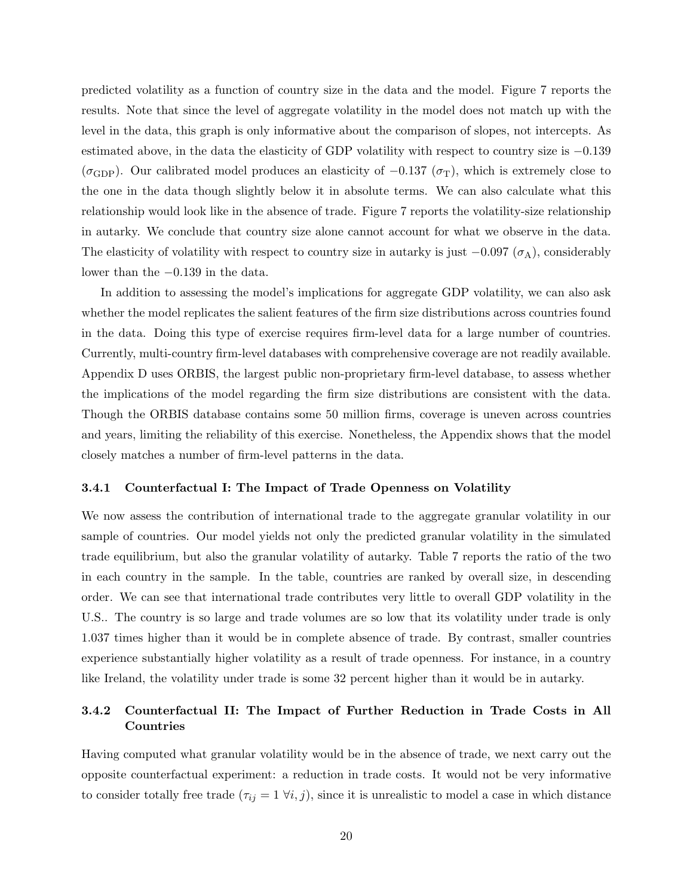predicted volatility as a function of country size in the data and the model. Figure 7 reports the results. Note that since the level of aggregate volatility in the model does not match up with the level in the data, this graph is only informative about the comparison of slopes, not intercepts. As estimated above, in the data the elasticity of GDP volatility with respect to country size is −0.139  $(\sigma_{\text{GDP}})$ . Our calibrated model produces an elasticity of  $-0.137$  ( $\sigma_{\text{T}}$ ), which is extremely close to the one in the data though slightly below it in absolute terms. We can also calculate what this relationship would look like in the absence of trade. Figure 7 reports the volatility-size relationship in autarky. We conclude that country size alone cannot account for what we observe in the data. The elasticity of volatility with respect to country size in autarky is just  $-0.097$  ( $\sigma$ A), considerably lower than the −0.139 in the data.

In addition to assessing the model's implications for aggregate GDP volatility, we can also ask whether the model replicates the salient features of the firm size distributions across countries found in the data. Doing this type of exercise requires firm-level data for a large number of countries. Currently, multi-country firm-level databases with comprehensive coverage are not readily available. Appendix D uses ORBIS, the largest public non-proprietary firm-level database, to assess whether the implications of the model regarding the firm size distributions are consistent with the data. Though the ORBIS database contains some 50 million firms, coverage is uneven across countries and years, limiting the reliability of this exercise. Nonetheless, the Appendix shows that the model closely matches a number of firm-level patterns in the data.

#### 3.4.1 Counterfactual I: The Impact of Trade Openness on Volatility

We now assess the contribution of international trade to the aggregate granular volatility in our sample of countries. Our model yields not only the predicted granular volatility in the simulated trade equilibrium, but also the granular volatility of autarky. Table 7 reports the ratio of the two in each country in the sample. In the table, countries are ranked by overall size, in descending order. We can see that international trade contributes very little to overall GDP volatility in the U.S.. The country is so large and trade volumes are so low that its volatility under trade is only 1.037 times higher than it would be in complete absence of trade. By contrast, smaller countries experience substantially higher volatility as a result of trade openness. For instance, in a country like Ireland, the volatility under trade is some 32 percent higher than it would be in autarky.

## 3.4.2 Counterfactual II: The Impact of Further Reduction in Trade Costs in All Countries

Having computed what granular volatility would be in the absence of trade, we next carry out the opposite counterfactual experiment: a reduction in trade costs. It would not be very informative to consider totally free trade  $(\tau_{ij} = 1 \forall i, j)$ , since it is unrealistic to model a case in which distance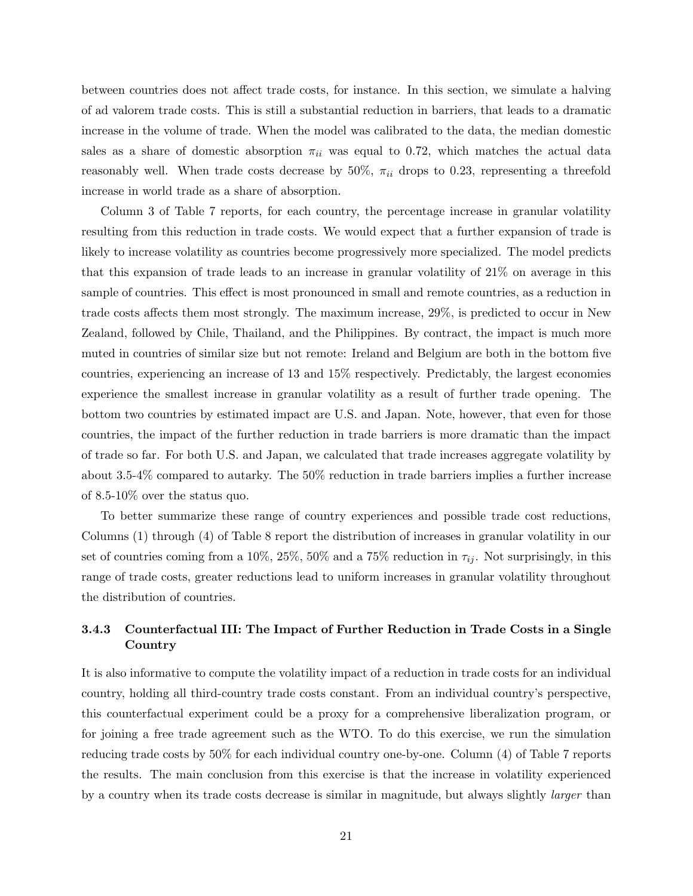between countries does not affect trade costs, for instance. In this section, we simulate a halving of ad valorem trade costs. This is still a substantial reduction in barriers, that leads to a dramatic increase in the volume of trade. When the model was calibrated to the data, the median domestic sales as a share of domestic absorption  $\pi_{ii}$  was equal to 0.72, which matches the actual data reasonably well. When trade costs decrease by 50%,  $\pi_{ii}$  drops to 0.23, representing a threefold increase in world trade as a share of absorption.

Column 3 of Table 7 reports, for each country, the percentage increase in granular volatility resulting from this reduction in trade costs. We would expect that a further expansion of trade is likely to increase volatility as countries become progressively more specialized. The model predicts that this expansion of trade leads to an increase in granular volatility of 21% on average in this sample of countries. This effect is most pronounced in small and remote countries, as a reduction in trade costs affects them most strongly. The maximum increase, 29%, is predicted to occur in New Zealand, followed by Chile, Thailand, and the Philippines. By contract, the impact is much more muted in countries of similar size but not remote: Ireland and Belgium are both in the bottom five countries, experiencing an increase of 13 and 15% respectively. Predictably, the largest economies experience the smallest increase in granular volatility as a result of further trade opening. The bottom two countries by estimated impact are U.S. and Japan. Note, however, that even for those countries, the impact of the further reduction in trade barriers is more dramatic than the impact of trade so far. For both U.S. and Japan, we calculated that trade increases aggregate volatility by about 3.5-4% compared to autarky. The 50% reduction in trade barriers implies a further increase of 8.5-10% over the status quo.

To better summarize these range of country experiences and possible trade cost reductions, Columns (1) through (4) of Table 8 report the distribution of increases in granular volatility in our set of countries coming from a 10%, 25%, 50% and a 75% reduction in  $\tau_{ij}$ . Not surprisingly, in this range of trade costs, greater reductions lead to uniform increases in granular volatility throughout the distribution of countries.

## 3.4.3 Counterfactual III: The Impact of Further Reduction in Trade Costs in a Single Country

It is also informative to compute the volatility impact of a reduction in trade costs for an individual country, holding all third-country trade costs constant. From an individual country's perspective, this counterfactual experiment could be a proxy for a comprehensive liberalization program, or for joining a free trade agreement such as the WTO. To do this exercise, we run the simulation reducing trade costs by 50% for each individual country one-by-one. Column (4) of Table 7 reports the results. The main conclusion from this exercise is that the increase in volatility experienced by a country when its trade costs decrease is similar in magnitude, but always slightly *larger* than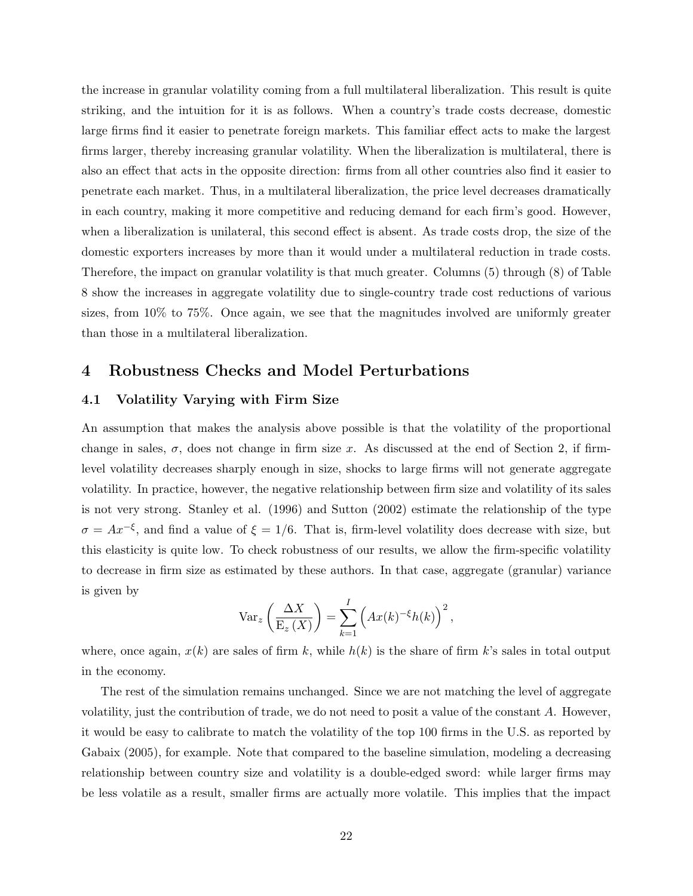the increase in granular volatility coming from a full multilateral liberalization. This result is quite striking, and the intuition for it is as follows. When a country's trade costs decrease, domestic large firms find it easier to penetrate foreign markets. This familiar effect acts to make the largest firms larger, thereby increasing granular volatility. When the liberalization is multilateral, there is also an effect that acts in the opposite direction: firms from all other countries also find it easier to penetrate each market. Thus, in a multilateral liberalization, the price level decreases dramatically in each country, making it more competitive and reducing demand for each firm's good. However, when a liberalization is unilateral, this second effect is absent. As trade costs drop, the size of the domestic exporters increases by more than it would under a multilateral reduction in trade costs. Therefore, the impact on granular volatility is that much greater. Columns (5) through (8) of Table 8 show the increases in aggregate volatility due to single-country trade cost reductions of various sizes, from 10% to 75%. Once again, we see that the magnitudes involved are uniformly greater than those in a multilateral liberalization.

## 4 Robustness Checks and Model Perturbations

#### 4.1 Volatility Varying with Firm Size

An assumption that makes the analysis above possible is that the volatility of the proportional change in sales,  $\sigma$ , does not change in firm size x. As discussed at the end of Section 2, if firmlevel volatility decreases sharply enough in size, shocks to large firms will not generate aggregate volatility. In practice, however, the negative relationship between firm size and volatility of its sales is not very strong. Stanley et al. (1996) and Sutton (2002) estimate the relationship of the type  $\sigma = Ax^{-\xi}$ , and find a value of  $\xi = 1/6$ . That is, firm-level volatility does decrease with size, but this elasticity is quite low. To check robustness of our results, we allow the firm-specific volatility to decrease in firm size as estimated by these authors. In that case, aggregate (granular) variance is given by

$$
\text{Var}_z\left(\frac{\Delta X}{\mathcal{E}_z(X)}\right) = \sum_{k=1}^I \left(Ax(k)^{-\xi}h(k)\right)^2,
$$

where, once again,  $x(k)$  are sales of firm k, while  $h(k)$  is the share of firm k's sales in total output in the economy.

The rest of the simulation remains unchanged. Since we are not matching the level of aggregate volatility, just the contribution of trade, we do not need to posit a value of the constant A. However, it would be easy to calibrate to match the volatility of the top 100 firms in the U.S. as reported by Gabaix (2005), for example. Note that compared to the baseline simulation, modeling a decreasing relationship between country size and volatility is a double-edged sword: while larger firms may be less volatile as a result, smaller firms are actually more volatile. This implies that the impact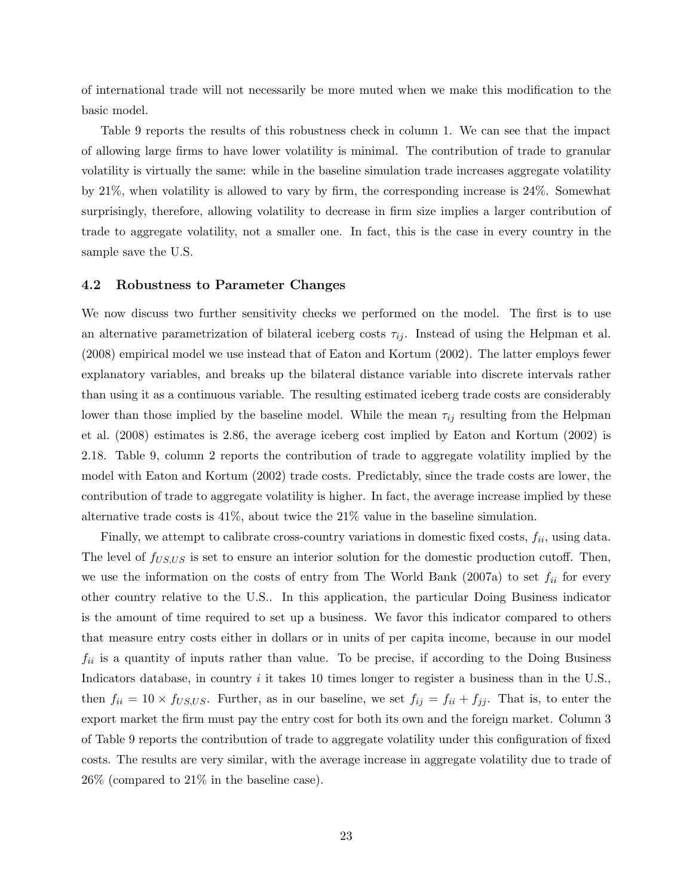of international trade will not necessarily be more muted when we make this modification to the basic model.

Table 9 reports the results of this robustness check in column 1. We can see that the impact of allowing large firms to have lower volatility is minimal. The contribution of trade to granular volatility is virtually the same: while in the baseline simulation trade increases aggregate volatility by 21%, when volatility is allowed to vary by firm, the corresponding increase is 24%. Somewhat surprisingly, therefore, allowing volatility to decrease in firm size implies a larger contribution of trade to aggregate volatility, not a smaller one. In fact, this is the case in every country in the sample save the U.S.

#### 4.2 Robustness to Parameter Changes

We now discuss two further sensitivity checks we performed on the model. The first is to use an alternative parametrization of bilateral iceberg costs  $\tau_{ij}$ . Instead of using the Helpman et al. (2008) empirical model we use instead that of Eaton and Kortum (2002). The latter employs fewer explanatory variables, and breaks up the bilateral distance variable into discrete intervals rather than using it as a continuous variable. The resulting estimated iceberg trade costs are considerably lower than those implied by the baseline model. While the mean  $\tau_{ij}$  resulting from the Helpman et al. (2008) estimates is 2.86, the average iceberg cost implied by Eaton and Kortum (2002) is 2.18. Table 9, column 2 reports the contribution of trade to aggregate volatility implied by the model with Eaton and Kortum (2002) trade costs. Predictably, since the trade costs are lower, the contribution of trade to aggregate volatility is higher. In fact, the average increase implied by these alternative trade costs is 41%, about twice the 21% value in the baseline simulation.

Finally, we attempt to calibrate cross-country variations in domestic fixed costs,  $f_{ii}$ , using data. The level of  $f_{US,US}$  is set to ensure an interior solution for the domestic production cutoff. Then, we use the information on the costs of entry from The World Bank (2007a) to set  $f_{ii}$  for every other country relative to the U.S.. In this application, the particular Doing Business indicator is the amount of time required to set up a business. We favor this indicator compared to others that measure entry costs either in dollars or in units of per capita income, because in our model  $f_{ii}$  is a quantity of inputs rather than value. To be precise, if according to the Doing Business Indicators database, in country  $i$  it takes 10 times longer to register a business than in the U.S., then  $f_{ii} = 10 \times f_{US,US}$ . Further, as in our baseline, we set  $f_{ij} = f_{ii} + f_{jj}$ . That is, to enter the export market the firm must pay the entry cost for both its own and the foreign market. Column 3 of Table 9 reports the contribution of trade to aggregate volatility under this configuration of fixed costs. The results are very similar, with the average increase in aggregate volatility due to trade of 26% (compared to 21% in the baseline case).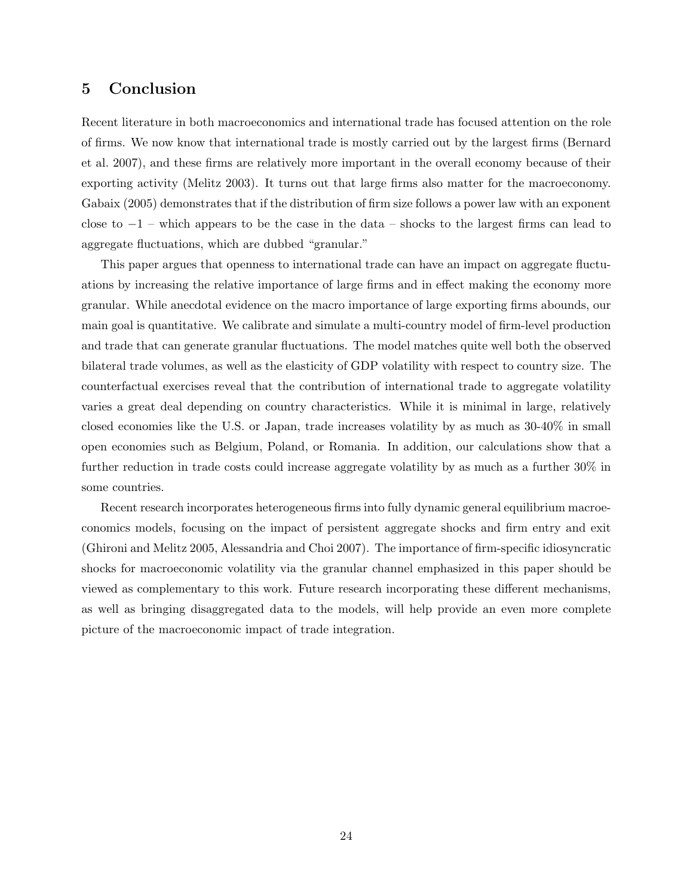# 5 Conclusion

Recent literature in both macroeconomics and international trade has focused attention on the role of firms. We now know that international trade is mostly carried out by the largest firms (Bernard et al. 2007), and these firms are relatively more important in the overall economy because of their exporting activity (Melitz 2003). It turns out that large firms also matter for the macroeconomy. Gabaix (2005) demonstrates that if the distribution of firm size follows a power law with an exponent close to  $-1$  – which appears to be the case in the data – shocks to the largest firms can lead to aggregate fluctuations, which are dubbed "granular."

This paper argues that openness to international trade can have an impact on aggregate fluctuations by increasing the relative importance of large firms and in effect making the economy more granular. While anecdotal evidence on the macro importance of large exporting firms abounds, our main goal is quantitative. We calibrate and simulate a multi-country model of firm-level production and trade that can generate granular fluctuations. The model matches quite well both the observed bilateral trade volumes, as well as the elasticity of GDP volatility with respect to country size. The counterfactual exercises reveal that the contribution of international trade to aggregate volatility varies a great deal depending on country characteristics. While it is minimal in large, relatively closed economies like the U.S. or Japan, trade increases volatility by as much as 30-40% in small open economies such as Belgium, Poland, or Romania. In addition, our calculations show that a further reduction in trade costs could increase aggregate volatility by as much as a further 30% in some countries.

Recent research incorporates heterogeneous firms into fully dynamic general equilibrium macroeconomics models, focusing on the impact of persistent aggregate shocks and firm entry and exit (Ghironi and Melitz 2005, Alessandria and Choi 2007). The importance of firm-specific idiosyncratic shocks for macroeconomic volatility via the granular channel emphasized in this paper should be viewed as complementary to this work. Future research incorporating these different mechanisms, as well as bringing disaggregated data to the models, will help provide an even more complete picture of the macroeconomic impact of trade integration.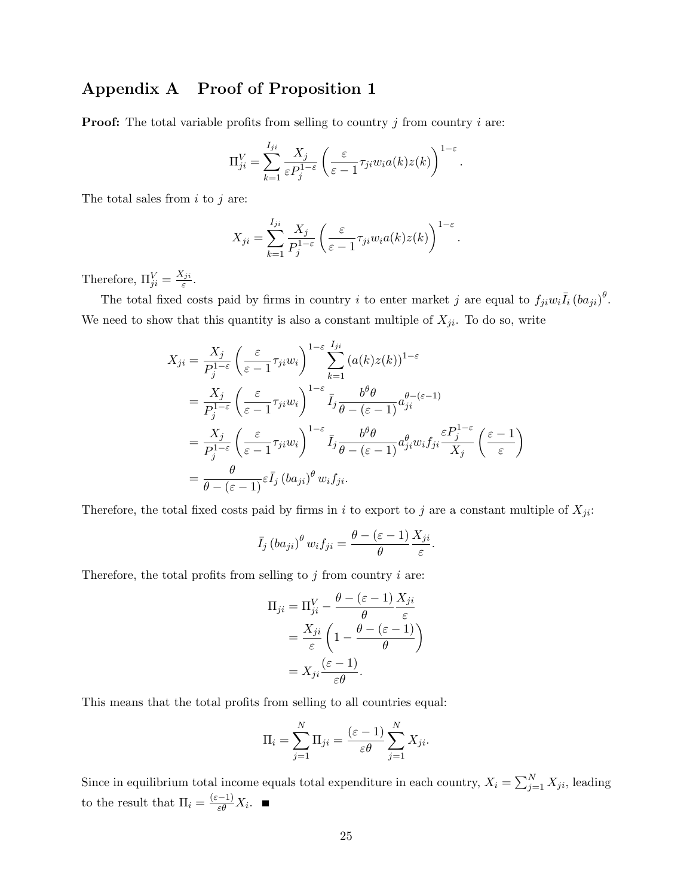# Appendix A Proof of Proposition 1

**Proof:** The total variable profits from selling to country  $j$  from country  $i$  are:

$$
\Pi_{ji}^V = \sum_{k=1}^{I_{ji}} \frac{X_j}{\varepsilon P_j^{1-\varepsilon}} \left( \frac{\varepsilon}{\varepsilon - 1} \tau_{ji} w_i a(k) z(k) \right)^{1-\varepsilon}.
$$

The total sales from  $i$  to  $j$  are:

$$
X_{ji} = \sum_{k=1}^{I_{ji}} \frac{X_j}{P_j^{1-\varepsilon}} \left( \frac{\varepsilon}{\varepsilon - 1} \tau_{ji} w_i a(k) z(k) \right)^{1-\varepsilon}.
$$

Therefore,  $\Pi_{ji}^V = \frac{X_{ji}}{\varepsilon}$  $\frac{ji}{\varepsilon}$  .

The total fixed costs paid by firms in country i to enter market j are equal to  $f_{ji}w_i\overline{I}_i(ba_{ji})^{\theta}$ . We need to show that this quantity is also a constant multiple of  $X_{ji}$ . To do so, write

$$
X_{ji} = \frac{X_j}{P_j^{1-\varepsilon}} \left( \frac{\varepsilon}{\varepsilon - 1} \tau_{ji} w_i \right)^{1-\varepsilon} \sum_{k=1}^{I_{ji}} (a(k)z(k))^{1-\varepsilon}
$$
  
\n
$$
= \frac{X_j}{P_j^{1-\varepsilon}} \left( \frac{\varepsilon}{\varepsilon - 1} \tau_{ji} w_i \right)^{1-\varepsilon} \overline{I}_j \frac{b^{\theta} \theta}{\theta - (\varepsilon - 1)} a_{ji}^{\theta - (\varepsilon - 1)}
$$
  
\n
$$
= \frac{X_j}{P_j^{1-\varepsilon}} \left( \frac{\varepsilon}{\varepsilon - 1} \tau_{ji} w_i \right)^{1-\varepsilon} \overline{I}_j \frac{b^{\theta} \theta}{\theta - (\varepsilon - 1)} a_{ji}^{\theta} w_i f_{ji} \frac{\varepsilon P_j^{1-\varepsilon}}{X_j} \left( \frac{\varepsilon - 1}{\varepsilon} \right)
$$
  
\n
$$
= \frac{\theta}{\theta - (\varepsilon - 1)} \varepsilon \overline{I}_j (b a_{ji})^{\theta} w_i f_{ji}.
$$

Therefore, the total fixed costs paid by firms in i to export to j are a constant multiple of  $X_{ji}$ :

$$
\bar{I}_j (ba_{ji})^{\theta} w_i f_{ji} = \frac{\theta - (\varepsilon - 1)}{\theta} \frac{X_{ji}}{\varepsilon}.
$$

Therefore, the total profits from selling to  $j$  from country  $i$  are:

$$
\Pi_{ji} = \Pi_{ji}^V - \frac{\theta - (\varepsilon - 1)}{\theta} \frac{X_{ji}}{\varepsilon}
$$

$$
= \frac{X_{ji}}{\varepsilon} \left( 1 - \frac{\theta - (\varepsilon - 1)}{\theta} \right)
$$

$$
= X_{ji} \frac{(\varepsilon - 1)}{\varepsilon \theta}.
$$

This means that the total profits from selling to all countries equal:

$$
\Pi_i = \sum_{j=1}^N \Pi_{ji} = \frac{(\varepsilon - 1)}{\varepsilon \theta} \sum_{j=1}^N X_{ji}.
$$

Since in equilibrium total income equals total expenditure in each country,  $X_i = \sum_{j=1}^{N} X_{ji}$ , leading to the result that  $\Pi_i = \frac{(\varepsilon - 1)}{\varepsilon \theta} X_i$ .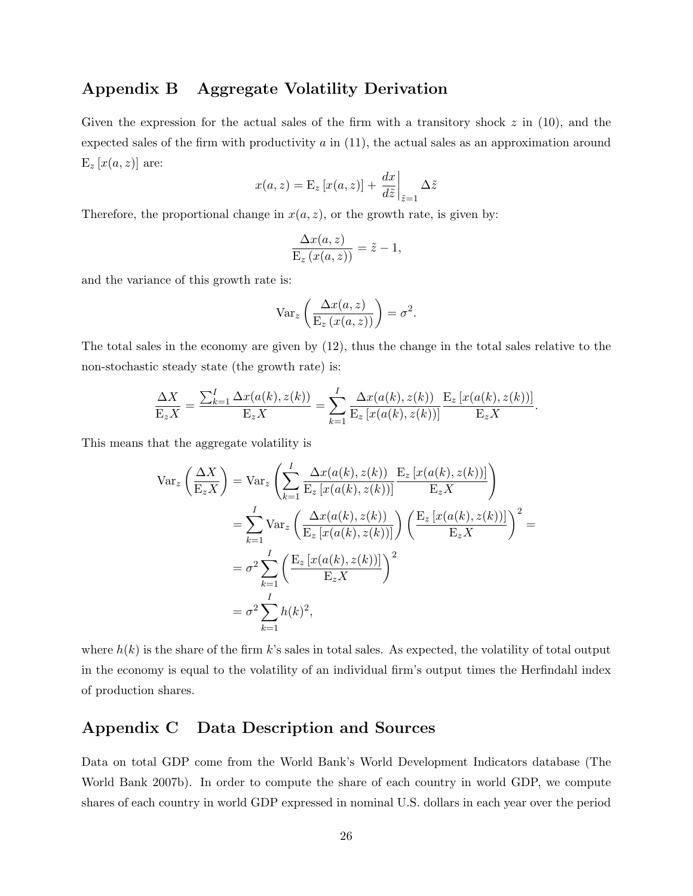# Appendix B Aggregate Volatility Derivation

Given the expression for the actual sales of the firm with a transitory shock  $z$  in (10), and the expected sales of the firm with productivity  $a$  in  $(11)$ , the actual sales as an approximation around  $E_z[x(a,z)]$  are:

$$
x(a, z) = \mathbf{E}_{z} [x(a, z)] + \frac{dx}{d\tilde{z}} \bigg|_{\tilde{z}=1} \Delta \tilde{z}
$$

Therefore, the proportional change in  $x(a, z)$ , or the growth rate, is given by:

$$
\frac{\Delta x(a,z)}{\mathrm{E}_z(x(a,z))} = \tilde{z} - 1,
$$

and the variance of this growth rate is:

$$
\text{Var}_z\left(\frac{\Delta x(a,z)}{\text{E}_z\left(x(a,z)\right)}\right) = \sigma^2.
$$

The total sales in the economy are given by (12), thus the change in the total sales relative to the non-stochastic steady state (the growth rate) is:

$$
\frac{\Delta X}{\mathcal{E}_z X} = \frac{\sum_{k=1}^I \Delta x(a(k), z(k))}{\mathcal{E}_z X} = \sum_{k=1}^I \frac{\Delta x(a(k), z(k))}{\mathcal{E}_z [x(a(k), z(k))]} \frac{\mathcal{E}_z [x(a(k), z(k))]}{\mathcal{E}_z X}.
$$

This means that the aggregate volatility is

$$
\operatorname{Var}_{z}\left(\frac{\Delta X}{\mathrm{E}_{z}X}\right) = \operatorname{Var}_{z}\left(\sum_{k=1}^{I} \frac{\Delta x(a(k), z(k))}{\mathrm{E}_{z}\left[x(a(k), z(k))\right]} \frac{\mathrm{E}_{z}\left[x(a(k), z(k))\right]}{\mathrm{E}_{z}X}\right)
$$

$$
= \sum_{k=1}^{I} \operatorname{Var}_{z}\left(\frac{\Delta x(a(k), z(k))}{\mathrm{E}_{z}\left[x(a(k), z(k))\right]}\right) \left(\frac{\mathrm{E}_{z}\left[x(a(k), z(k))\right]}{\mathrm{E}_{z}X}\right)^{2} =
$$

$$
= \sigma^{2} \sum_{k=1}^{I} \left(\frac{\mathrm{E}_{z}\left[x(a(k), z(k))\right]}{\mathrm{E}_{z}X}\right)^{2}
$$

$$
= \sigma^{2} \sum_{k=1}^{I} h(k)^{2},
$$

where  $h(k)$  is the share of the firm k's sales in total sales. As expected, the volatility of total output in the economy is equal to the volatility of an individual firm's output times the Herfindahl index of production shares.

# Appendix C Data Description and Sources

Data on total GDP come from the World Bank's World Development Indicators database (The World Bank 2007b). In order to compute the share of each country in world GDP, we compute shares of each country in world GDP expressed in nominal U.S. dollars in each year over the period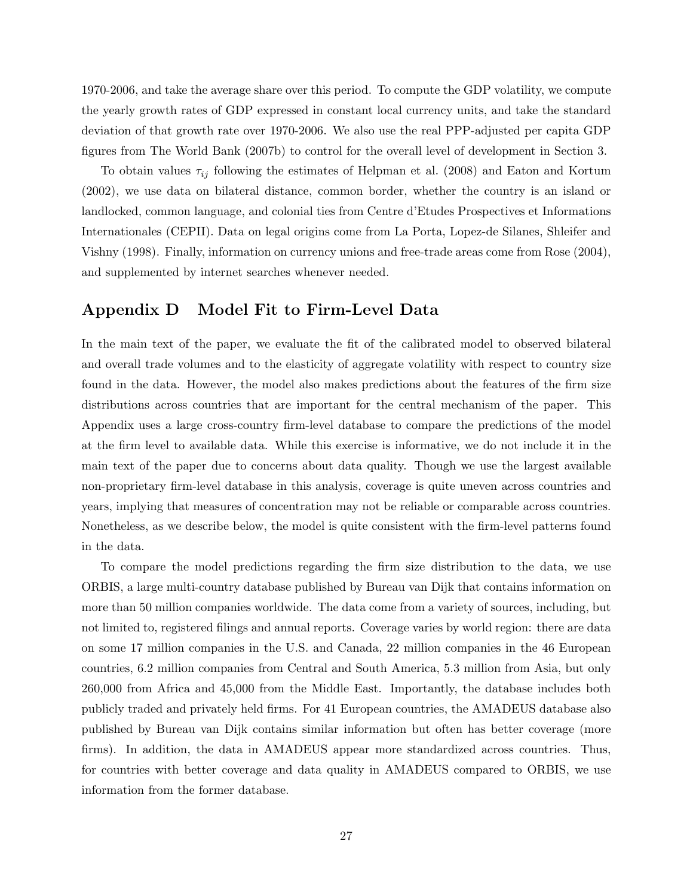1970-2006, and take the average share over this period. To compute the GDP volatility, we compute the yearly growth rates of GDP expressed in constant local currency units, and take the standard deviation of that growth rate over 1970-2006. We also use the real PPP-adjusted per capita GDP figures from The World Bank (2007b) to control for the overall level of development in Section 3.

To obtain values  $\tau_{ij}$  following the estimates of Helpman et al. (2008) and Eaton and Kortum (2002), we use data on bilateral distance, common border, whether the country is an island or landlocked, common language, and colonial ties from Centre d'Etudes Prospectives et Informations Internationales (CEPII). Data on legal origins come from La Porta, Lopez-de Silanes, Shleifer and Vishny (1998). Finally, information on currency unions and free-trade areas come from Rose (2004), and supplemented by internet searches whenever needed.

## Appendix D Model Fit to Firm-Level Data

In the main text of the paper, we evaluate the fit of the calibrated model to observed bilateral and overall trade volumes and to the elasticity of aggregate volatility with respect to country size found in the data. However, the model also makes predictions about the features of the firm size distributions across countries that are important for the central mechanism of the paper. This Appendix uses a large cross-country firm-level database to compare the predictions of the model at the firm level to available data. While this exercise is informative, we do not include it in the main text of the paper due to concerns about data quality. Though we use the largest available non-proprietary firm-level database in this analysis, coverage is quite uneven across countries and years, implying that measures of concentration may not be reliable or comparable across countries. Nonetheless, as we describe below, the model is quite consistent with the firm-level patterns found in the data.

To compare the model predictions regarding the firm size distribution to the data, we use ORBIS, a large multi-country database published by Bureau van Dijk that contains information on more than 50 million companies worldwide. The data come from a variety of sources, including, but not limited to, registered filings and annual reports. Coverage varies by world region: there are data on some 17 million companies in the U.S. and Canada, 22 million companies in the 46 European countries, 6.2 million companies from Central and South America, 5.3 million from Asia, but only 260,000 from Africa and 45,000 from the Middle East. Importantly, the database includes both publicly traded and privately held firms. For 41 European countries, the AMADEUS database also published by Bureau van Dijk contains similar information but often has better coverage (more firms). In addition, the data in AMADEUS appear more standardized across countries. Thus, for countries with better coverage and data quality in AMADEUS compared to ORBIS, we use information from the former database.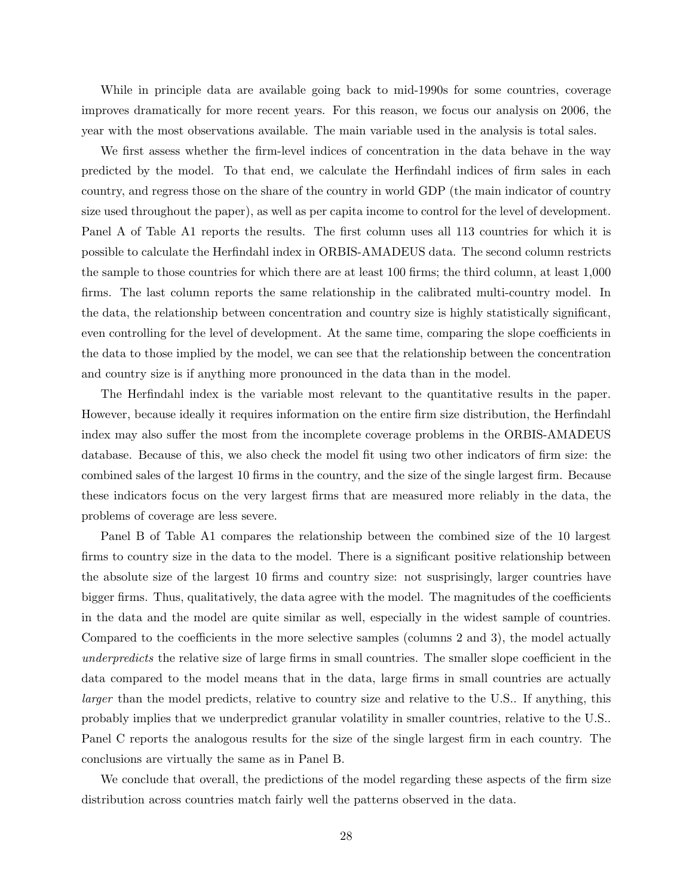While in principle data are available going back to mid-1990s for some countries, coverage improves dramatically for more recent years. For this reason, we focus our analysis on 2006, the year with the most observations available. The main variable used in the analysis is total sales.

We first assess whether the firm-level indices of concentration in the data behave in the way predicted by the model. To that end, we calculate the Herfindahl indices of firm sales in each country, and regress those on the share of the country in world GDP (the main indicator of country size used throughout the paper), as well as per capita income to control for the level of development. Panel A of Table A1 reports the results. The first column uses all 113 countries for which it is possible to calculate the Herfindahl index in ORBIS-AMADEUS data. The second column restricts the sample to those countries for which there are at least 100 firms; the third column, at least 1,000 firms. The last column reports the same relationship in the calibrated multi-country model. In the data, the relationship between concentration and country size is highly statistically significant, even controlling for the level of development. At the same time, comparing the slope coefficients in the data to those implied by the model, we can see that the relationship between the concentration and country size is if anything more pronounced in the data than in the model.

The Herfindahl index is the variable most relevant to the quantitative results in the paper. However, because ideally it requires information on the entire firm size distribution, the Herfindahl index may also suffer the most from the incomplete coverage problems in the ORBIS-AMADEUS database. Because of this, we also check the model fit using two other indicators of firm size: the combined sales of the largest 10 firms in the country, and the size of the single largest firm. Because these indicators focus on the very largest firms that are measured more reliably in the data, the problems of coverage are less severe.

Panel B of Table A1 compares the relationship between the combined size of the 10 largest firms to country size in the data to the model. There is a significant positive relationship between the absolute size of the largest 10 firms and country size: not susprisingly, larger countries have bigger firms. Thus, qualitatively, the data agree with the model. The magnitudes of the coefficients in the data and the model are quite similar as well, especially in the widest sample of countries. Compared to the coefficients in the more selective samples (columns 2 and 3), the model actually underpredicts the relative size of large firms in small countries. The smaller slope coefficient in the data compared to the model means that in the data, large firms in small countries are actually larger than the model predicts, relative to country size and relative to the U.S.. If anything, this probably implies that we underpredict granular volatility in smaller countries, relative to the U.S.. Panel C reports the analogous results for the size of the single largest firm in each country. The conclusions are virtually the same as in Panel B.

We conclude that overall, the predictions of the model regarding these aspects of the firm size distribution across countries match fairly well the patterns observed in the data.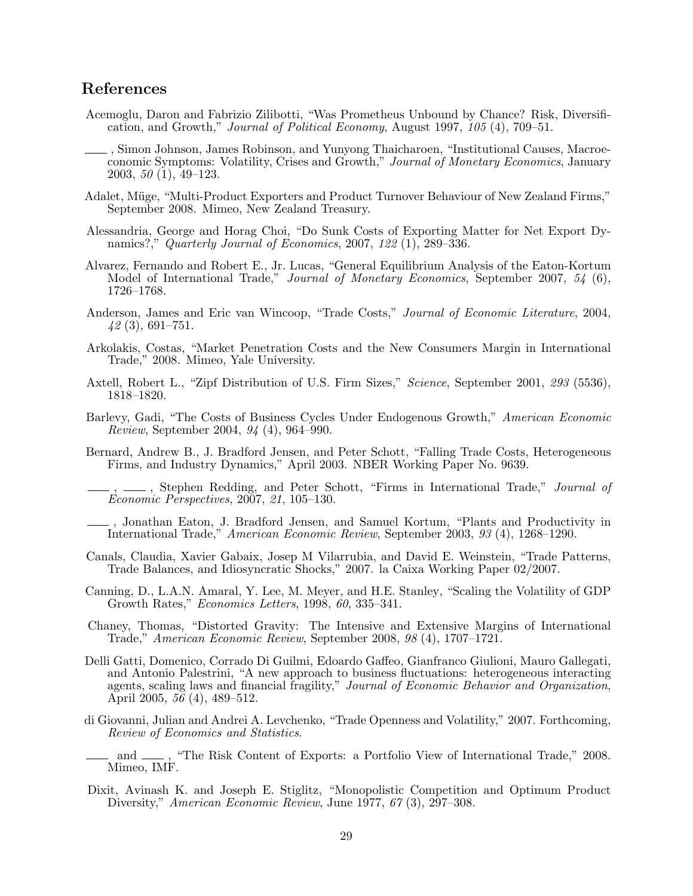# References

- Acemoglu, Daron and Fabrizio Zilibotti, "Was Prometheus Unbound by Chance? Risk, Diversification, and Growth," Journal of Political Economy, August 1997, 105 (4), 709–51.
- , Simon Johnson, James Robinson, and Yunyong Thaicharoen, "Institutional Causes, Macroeconomic Symptoms: Volatility, Crises and Growth," Journal of Monetary Economics, January 2003, 50 (1), 49–123.
- Adalet, Müge, "Multi-Product Exporters and Product Turnover Behaviour of New Zealand Firms," September 2008. Mimeo, New Zealand Treasury.
- Alessandria, George and Horag Choi, "Do Sunk Costs of Exporting Matter for Net Export Dynamics?," *Quarterly Journal of Economics*, 2007, 122 (1), 289–336.
- Alvarez, Fernando and Robert E., Jr. Lucas, "General Equilibrium Analysis of the Eaton-Kortum Model of International Trade," Journal of Monetary Economics, September 2007, 54 (6), 1726–1768.
- Anderson, James and Eric van Wincoop, "Trade Costs," Journal of Economic Literature, 2004, 42 (3), 691–751.
- Arkolakis, Costas, "Market Penetration Costs and the New Consumers Margin in International Trade," 2008. Mimeo, Yale University.
- Axtell, Robert L., "Zipf Distribution of U.S. Firm Sizes," Science, September 2001, 293 (5536), 1818–1820.
- Barlevy, Gadi, "The Costs of Business Cycles Under Endogenous Growth," American Economic Review, September 2004, 94 (4), 964–990.
- Bernard, Andrew B., J. Bradford Jensen, and Peter Schott, "Falling Trade Costs, Heterogeneous Firms, and Industry Dynamics," April 2003. NBER Working Paper No. 9639.

<sub>-</sub>, Stephen Redding, and Peter Schott, "Firms in International Trade," *Journal of* Economic Perspectives, 2007, 21, 105–130.

, Jonathan Eaton, J. Bradford Jensen, and Samuel Kortum, "Plants and Productivity in International Trade," American Economic Review, September 2003, 93 (4), 1268–1290.

- Canals, Claudia, Xavier Gabaix, Josep M Vilarrubia, and David E. Weinstein, "Trade Patterns, Trade Balances, and Idiosyncratic Shocks," 2007. la Caixa Working Paper 02/2007.
- Canning, D., L.A.N. Amaral, Y. Lee, M. Meyer, and H.E. Stanley, "Scaling the Volatility of GDP Growth Rates," Economics Letters, 1998, 60, 335–341.
- Chaney, Thomas, "Distorted Gravity: The Intensive and Extensive Margins of International Trade," American Economic Review, September 2008, 98 (4), 1707–1721.
- Delli Gatti, Domenico, Corrado Di Guilmi, Edoardo Gaffeo, Gianfranco Giulioni, Mauro Gallegati, and Antonio Palestrini, "A new approach to business fluctuations: heterogeneous interacting agents, scaling laws and financial fragility," Journal of Economic Behavior and Organization, April 2005,  $5\bar{6}$  (4), 489–512.
- di Giovanni, Julian and Andrei A. Levchenko, "Trade Openness and Volatility," 2007. Forthcoming, Review of Economics and Statistics.
- and  $\mu$ , "The Risk Content of Exports: a Portfolio View of International Trade," 2008. Mimeo, IMF.
- Dixit, Avinash K. and Joseph E. Stiglitz, "Monopolistic Competition and Optimum Product Diversity," American Economic Review, June 1977, 67 (3), 297–308.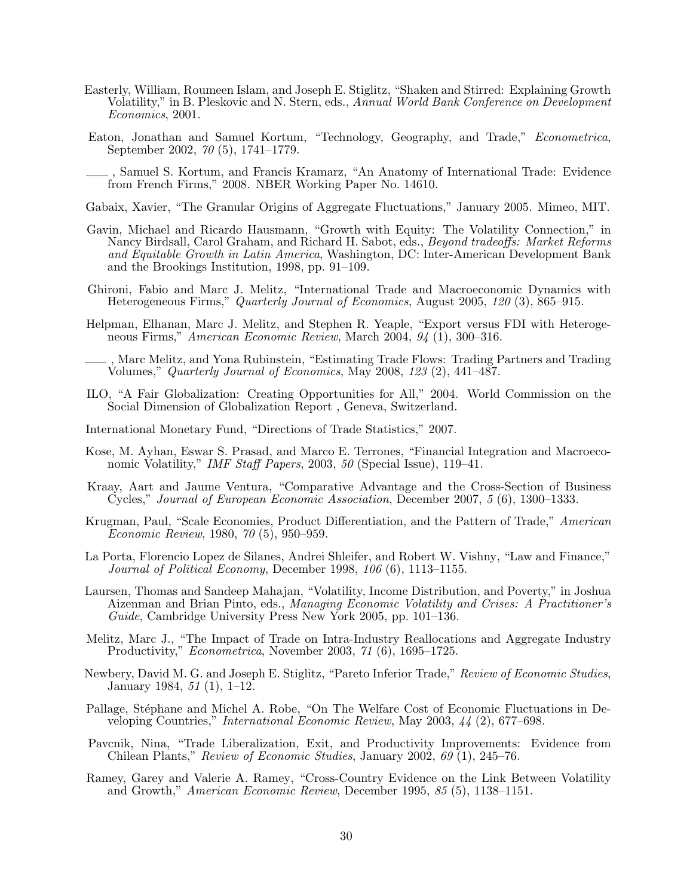- Easterly, William, Roumeen Islam, and Joseph E. Stiglitz, "Shaken and Stirred: Explaining Growth Volatility," in B. Pleskovic and N. Stern, eds., *Annual World Bank Conference on Development* Economics, 2001.
- Eaton, Jonathan and Samuel Kortum, "Technology, Geography, and Trade," Econometrica, September 2002, 70 (5), 1741–1779.
- , Samuel S. Kortum, and Francis Kramarz, "An Anatomy of International Trade: Evidence from French Firms," 2008. NBER Working Paper No. 14610.
- Gabaix, Xavier, "The Granular Origins of Aggregate Fluctuations," January 2005. Mimeo, MIT.
- Gavin, Michael and Ricardo Hausmann, "Growth with Equity: The Volatility Connection," in Nancy Birdsall, Carol Graham, and Richard H. Sabot, eds., Beyond tradeoffs: Market Reforms and Equitable Growth in Latin America, Washington, DC: Inter-American Development Bank and the Brookings Institution, 1998, pp. 91–109.
- Ghironi, Fabio and Marc J. Melitz, "International Trade and Macroeconomic Dynamics with Heterogeneous Firms," Quarterly Journal of Economics, August 2005, 120 (3), 865–915.
- Helpman, Elhanan, Marc J. Melitz, and Stephen R. Yeaple, "Export versus FDI with Heterogeneous Firms," American Economic Review, March 2004, 94 (1), 300–316.
- , Marc Melitz, and Yona Rubinstein, "Estimating Trade Flows: Trading Partners and Trading Volumes," Quarterly Journal of Economics, May 2008, 123 (2), 441–487.
- ILO, "A Fair Globalization: Creating Opportunities for All," 2004. World Commission on the Social Dimension of Globalization Report , Geneva, Switzerland.
- International Monetary Fund, "Directions of Trade Statistics," 2007.
- Kose, M. Ayhan, Eswar S. Prasad, and Marco E. Terrones, "Financial Integration and Macroeconomic Volatility," IMF Staff Papers, 2003, 50 (Special Issue), 119–41.
- Kraay, Aart and Jaume Ventura, "Comparative Advantage and the Cross-Section of Business Cycles," Journal of European Economic Association, December 2007, 5 (6), 1300–1333.
- Krugman, Paul, "Scale Economies, Product Differentiation, and the Pattern of Trade," American Economic Review, 1980, 70 (5), 950–959.
- La Porta, Florencio Lopez de Silanes, Andrei Shleifer, and Robert W. Vishny, "Law and Finance," Journal of Political Economy, December 1998, 106 (6), 1113–1155.
- Laursen, Thomas and Sandeep Mahajan, "Volatility, Income Distribution, and Poverty," in Joshua Aizenman and Brian Pinto, eds., Managing Economic Volatility and Crises: A Practitioner's Guide, Cambridge University Press New York 2005, pp. 101–136.
- Melitz, Marc J., "The Impact of Trade on Intra-Industry Reallocations and Aggregate Industry Productivity," Econometrica, November 2003, 71 (6), 1695–1725.
- Newbery, David M. G. and Joseph E. Stiglitz, "Pareto Inferior Trade," Review of Economic Studies, January 1984, 51 (1), 1–12.
- Pallage, Stéphane and Michel A. Robe, "On The Welfare Cost of Economic Fluctuations in Developing Countries," International Economic Review, May 2003, 44 (2), 677–698.
- Pavcnik, Nina, "Trade Liberalization, Exit, and Productivity Improvements: Evidence from Chilean Plants," Review of Economic Studies, January 2002, 69 (1), 245–76.
- Ramey, Garey and Valerie A. Ramey, "Cross-Country Evidence on the Link Between Volatility and Growth," American Economic Review, December 1995, 85 (5), 1138–1151.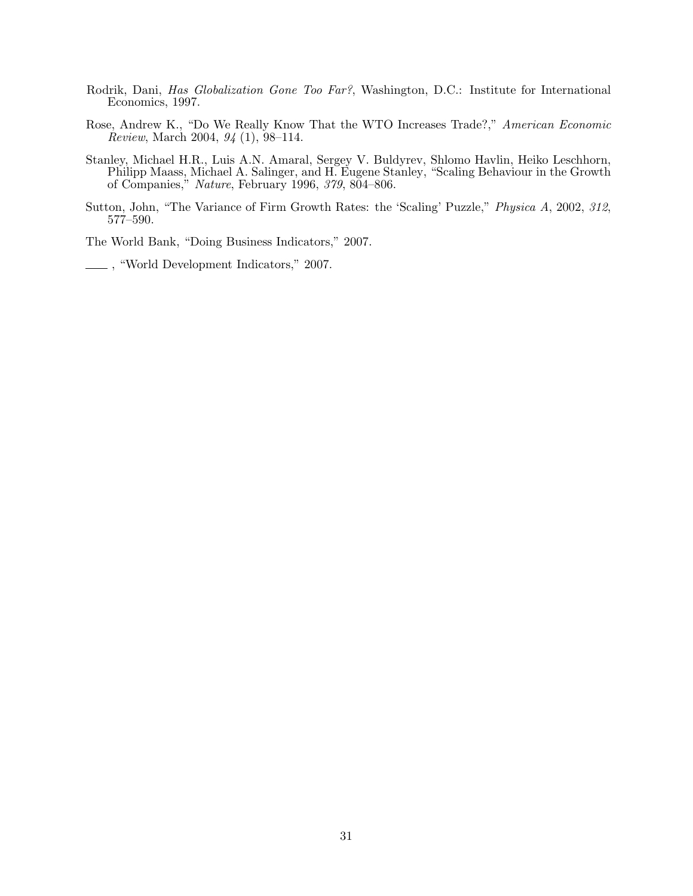- Rodrik, Dani, Has Globalization Gone Too Far?, Washington, D.C.: Institute for International Economics, 1997.
- Rose, Andrew K., "Do We Really Know That the WTO Increases Trade?," American Economic Review, March 2004, 94 (1), 98–114.
- Stanley, Michael H.R., Luis A.N. Amaral, Sergey V. Buldyrev, Shlomo Havlin, Heiko Leschhorn, Philipp Maass, Michael A. Salinger, and H. Eugene Stanley, "Scaling Behaviour in the Growth of Companies," Nature, February 1996, 379, 804–806.
- Sutton, John, "The Variance of Firm Growth Rates: the 'Scaling' Puzzle," Physica A, 2002, 312, 577–590.

The World Bank, "Doing Business Indicators," 2007.

, "World Development Indicators," 2007.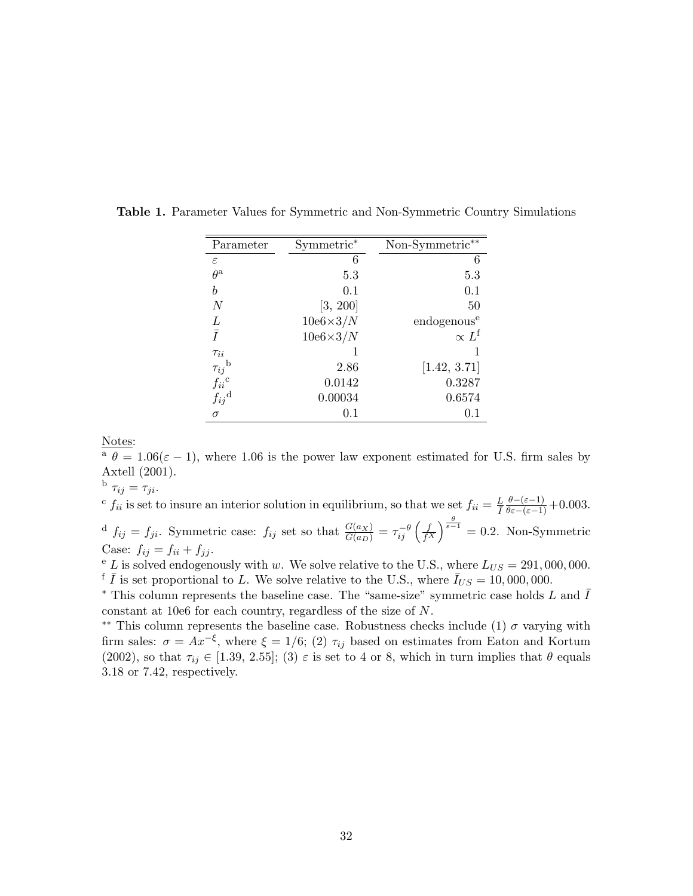| Parameter                                   | Symmetric*      | Non-Symmetric**         |
|---------------------------------------------|-----------------|-------------------------|
| $\varepsilon$                               | 6               | 6                       |
| $\theta^{\rm a}$                            | 5.3             | 5.3                     |
| b                                           | 0.1             | 0.1                     |
| $\overline{N}$                              | [3, 200]        | 50                      |
| L                                           | $10e6\times3/N$ | endogenous <sup>e</sup> |
| $\bar{I}$                                   | $10e6\times3/N$ | $\propto L^{\rm f}$     |
| $\tau_{ii}$                                 |                 |                         |
| $\tau_{ij}^{\text{b}} \\ f_{ii}^{\text{c}}$ | 2.86            | [1.42, 3.71]            |
|                                             | 0.0142          | 0.3287                  |
| $f_{ij}^{\mathrm{d}}$                       | 0.00034         | 0.6574                  |
| $\sigma$                                    | 0.1             | $0.1\,$                 |

Table 1. Parameter Values for Symmetric and Non-Symmetric Country Simulations

Notes:

<sup>a</sup>  $\theta = 1.06(\varepsilon - 1)$ , where 1.06 is the power law exponent estimated for U.S. firm sales by Axtell (2001).

b  $\tau_{ij} = \tau_{ji}.$ 

<sup>c</sup>  $f_{ii}$  is set to insure an interior solution in equilibrium, so that we set  $f_{ii} = \frac{L}{I} \frac{\theta - (\varepsilon - 1)}{\theta \varepsilon - (\varepsilon - 1)} + 0.003$ . <sup>d</sup>  $f_{ij} = f_{ji}$ . Symmetric case:  $f_{ij}$  set so that  $\frac{G(a_X)}{G(a_D)} = \tau_{ij}^{-\theta} \left( \frac{f}{f^2} \right)$  $\left(\frac{f}{f^X}\right)^{\frac{\theta}{\varepsilon-1}} = 0.2$ . Non-Symmetric Case:  $f_{ij} = f_{ii} + f_{jj}$ .

 $e^{\epsilon}$  L is solved endogenously with w. We solve relative to the U.S., where  $L_{US} = 291,000,000$ . <sup>f</sup>  $\overline{I}$  is set proportional to L. We solve relative to the U.S., where  $\overline{I}_{US} = 10,000,000$ .

\* This column represents the baseline case. The "same-size" symmetric case holds L and  $\bar{I}$ constant at 10e6 for each country, regardless of the size of N.

<sup>\*\*</sup> This column represents the baseline case. Robustness checks include (1)  $\sigma$  varying with firm sales:  $\sigma = Ax^{-\xi}$ , where  $\xi = 1/6$ ; (2)  $\tau_{ij}$  based on estimates from Eaton and Kortum (2002), so that  $\tau_{ij} \in [1.39, 2.55]$ ; (3)  $\varepsilon$  is set to 4 or 8, which in turn implies that  $\theta$  equals 3.18 or 7.42, respectively.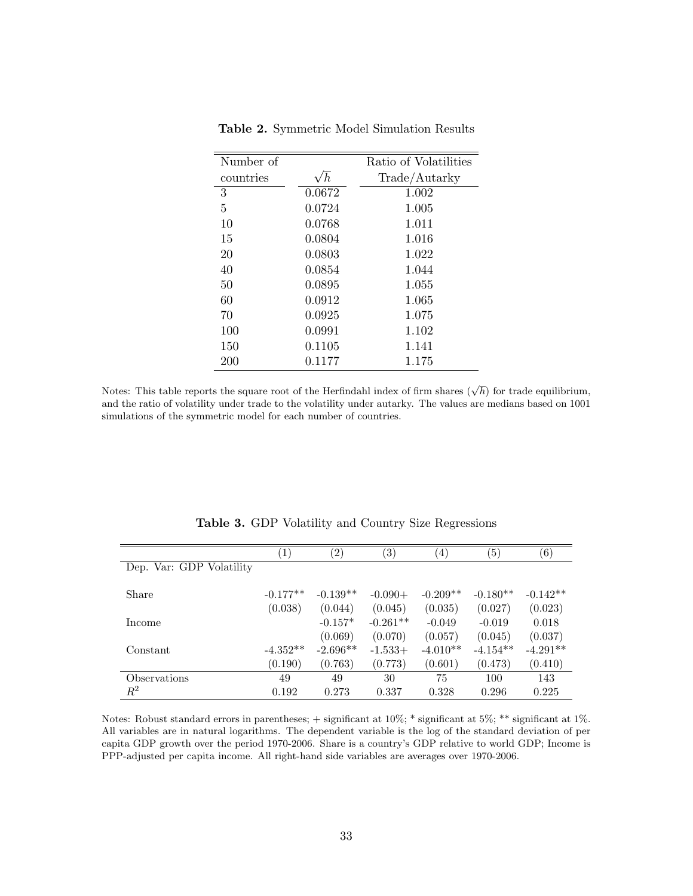| Number of |            | Ratio of Volatilities |
|-----------|------------|-----------------------|
| countries | $\sqrt{h}$ | Trade/Autarky         |
| 3         | 0.0672     | 1.002                 |
| 5         | 0.0724     | 1.005                 |
| 10        | 0.0768     | 1.011                 |
| 15        | 0.0804     | 1.016                 |
| 20        | 0.0803     | 1.022                 |
| 40        | 0.0854     | 1.044                 |
| 50        | 0.0895     | 1.055                 |
| 60        | 0.0912     | 1.065                 |
| 70        | 0.0925     | 1.075                 |
| 100       | 0.0991     | 1.102                 |
| 150       | 0.1105     | 1.141                 |
| 200       | 0.1177     | 1.175                 |

Table 2. Symmetric Model Simulation Results

Notes: This table reports the square root of the Herfindahl index of firm shares  $(\sqrt{h})$  for trade equilibrium, and the ratio of volatility under trade to the volatility under autarky. The values are medians based on 1001 simulations of the symmetric model for each number of countries.

|                            | $\mathbf{1}$ | $\left( 2\right)$ | $\left( 3\right)$ | $\left(4\right)$ | $\left(5\right)$ | $\left(6\right)$ |
|----------------------------|--------------|-------------------|-------------------|------------------|------------------|------------------|
| Dep. Var: GDP Volatility   |              |                   |                   |                  |                  |                  |
| Share                      | $-0.177**$   | $-0.139**$        | $-0.090+$         | $-0.209**$       | $-0.180**$       | $-0.142**$       |
|                            | (0.038)      | (0.044)           | (0.045)           | (0.035)          | (0.027)          | (0.023)          |
| Income                     |              | $-0.157*$         | $-0.261**$        | $-0.049$         | $-0.019$         | 0.018            |
|                            |              | (0.069)           | (0.070)           | (0.057)          | (0.045)          | (0.037)          |
| Constant                   | $-4.352**$   | $-2.696**$        | $-1.533+$         | $-4.010**$       | $-4.154**$       | $-4.291**$       |
|                            | (0.190)      | (0.763)           | (0.773)           | (0.601)          | (0.473)          | (0.410)          |
| <i><b>Observations</b></i> | 49           | 49                | 30                | 75               | 100              | 143              |
| $\,R^2$                    | 0.192        | 0.273             | 0.337             | 0.328            | 0.296            | 0.225            |

Table 3. GDP Volatility and Country Size Regressions

Notes: Robust standard errors in parentheses; + significant at 10%; \* significant at 5%; \*\* significant at 1%. All variables are in natural logarithms. The dependent variable is the log of the standard deviation of per capita GDP growth over the period 1970-2006. Share is a country's GDP relative to world GDP; Income is PPP-adjusted per capita income. All right-hand side variables are averages over 1970-2006.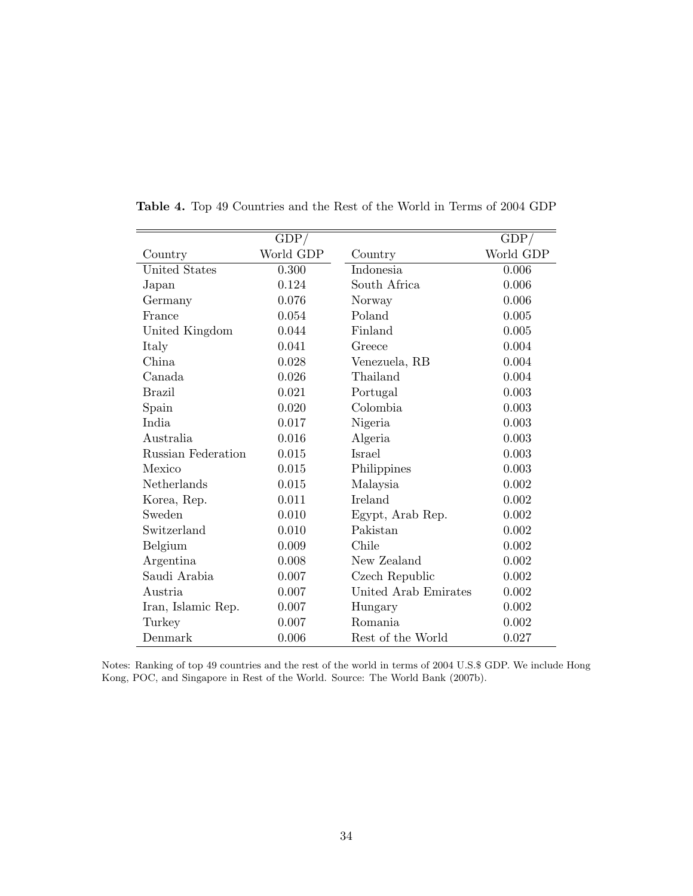|                    | GDP/      |                      | GDP/      |
|--------------------|-----------|----------------------|-----------|
| Country            | World GDP | Country              | World GDP |
| United States      | 0.300     | Indonesia            | 0.006     |
| Japan              | 0.124     | South Africa         | 0.006     |
| Germany            | 0.076     | Norway               | 0.006     |
| France             | 0.054     | Poland               | 0.005     |
| United Kingdom     | 0.044     | Finland              | 0.005     |
| Italy              | 0.041     | Greece               | 0.004     |
| China              | 0.028     | Venezuela, RB        | 0.004     |
| Canada             | 0.026     | Thailand             | 0.004     |
| <b>Brazil</b>      | 0.021     | Portugal             | 0.003     |
| Spain              | 0.020     | Colombia             | 0.003     |
| India              | 0.017     | Nigeria              | 0.003     |
| Australia          | 0.016     | Algeria              | 0.003     |
| Russian Federation | 0.015     | Israel               | 0.003     |
| Mexico             | 0.015     | Philippines          | 0.003     |
| Netherlands        | 0.015     | Malaysia             | 0.002     |
| Korea, Rep.        | 0.011     | Ireland              | 0.002     |
| Sweden             | 0.010     | Egypt, Arab Rep.     | 0.002     |
| Switzerland        | 0.010     | Pakistan             | 0.002     |
| Belgium            | 0.009     | Chile                | 0.002     |
| Argentina          | 0.008     | New Zealand          | 0.002     |
| Saudi Arabia       | 0.007     | Czech Republic       | 0.002     |
| Austria            | 0.007     | United Arab Emirates | 0.002     |
| Iran, Islamic Rep. | 0.007     | Hungary              | 0.002     |
| Turkey             | 0.007     | Romania              | 0.002     |
| Denmark            | 0.006     | Rest of the World    | 0.027     |

Table 4. Top 49 Countries and the Rest of the World in Terms of 2004 GDP

Notes: Ranking of top 49 countries and the rest of the world in terms of 2004 U.S.\$ GDP. We include Hong Kong, POC, and Singapore in Rest of the World. Source: The World Bank (2007b).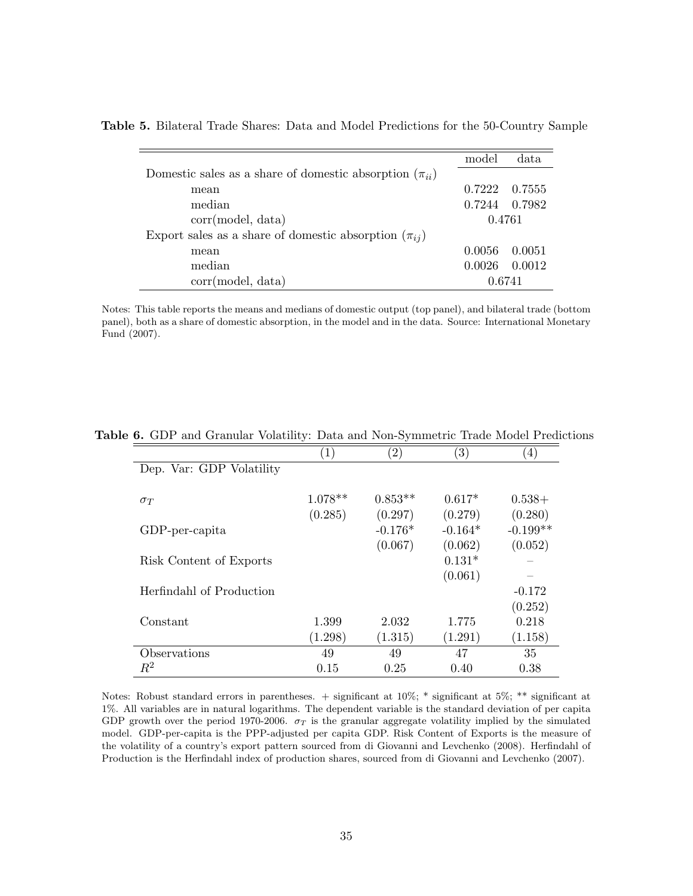|                                                               | model  | data          |
|---------------------------------------------------------------|--------|---------------|
| Domestic sales as a share of domestic absorption $(\pi_{ii})$ |        |               |
| mean                                                          | 0.7222 | - 0.7555      |
| median                                                        |        | 0.7244 0.7982 |
| corr(model, data)                                             | 0.4761 |               |
| Export sales as a share of domestic absorption $(\pi_{ij})$   |        |               |
| mean                                                          | 0.0056 | 0.0051        |
| median                                                        | 0.0026 | 0.0012        |
| corr(model, data)                                             | 0.6741 |               |

Table 5. Bilateral Trade Shares: Data and Model Predictions for the 50-Country Sample

Notes: This table reports the means and medians of domestic output (top panel), and bilateral trade (bottom panel), both as a share of domestic absorption, in the model and in the data. Source: International Monetary Fund (2007).

|                          | $\left( 1\right)$ | $\left( 2\right)$ | $\left( 3\right)$ | $\left(4\right)$ |
|--------------------------|-------------------|-------------------|-------------------|------------------|
| Dep. Var: GDP Volatility |                   |                   |                   |                  |
| $\sigma_T$               | $1.078**$         | $0.853**$         | $0.617*$          | $0.538+$         |
|                          | (0.285)           | (0.297)           | (0.279)           | (0.280)          |
| GDP-per-capita           |                   | $-0.176*$         | $-0.164*$         | $-0.199**$       |
|                          |                   | (0.067)           | (0.062)           | (0.052)          |
| Risk Content of Exports  |                   |                   | $0.131*$          |                  |
|                          |                   |                   | (0.061)           |                  |
| Herfindahl of Production |                   |                   |                   | $-0.172$         |
|                          |                   |                   |                   | (0.252)          |
| Constant                 | 1.399             | 2.032             | 1.775             | 0.218            |
|                          | (1.298)           | (1.315)           | (1.291)           | (1.158)          |
| Observations             | 49                | 49                | 47                | 35               |
| $\,R^2$                  | 0.15              | 0.25              | 0.40              | 0.38             |

Table 6. GDP and Granular Volatility: Data and Non-Symmetric Trade Model Predictions

Notes: Robust standard errors in parentheses. + significant at 10%; \* significant at 5%; \*\* significant at 1%. All variables are in natural logarithms. The dependent variable is the standard deviation of per capita GDP growth over the period 1970-2006.  $\sigma_T$  is the granular aggregate volatility implied by the simulated model. GDP-per-capita is the PPP-adjusted per capita GDP. Risk Content of Exports is the measure of the volatility of a country's export pattern sourced from di Giovanni and Levchenko (2008). Herfindahl of Production is the Herfindahl index of production shares, sourced from di Giovanni and Levchenko (2007).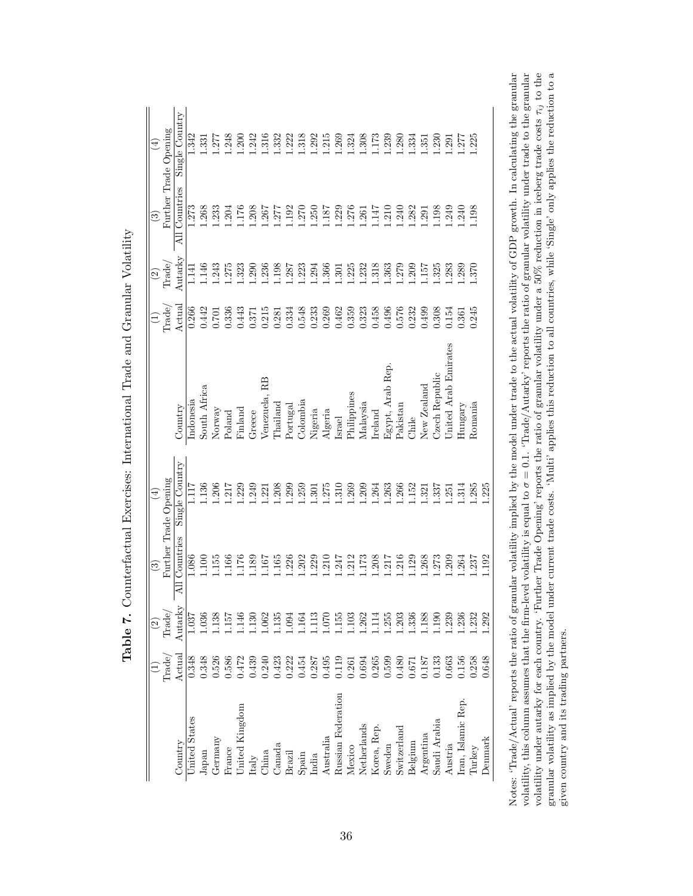|                    |                 | $\widehat{\mathbb{C}}$                                          | ව             | $\left( \pm \right)$  |                      |                 | $\widehat{\mathfrak{D}}$ | $\odot$               | $\left( 4\right)$ |
|--------------------|-----------------|-----------------------------------------------------------------|---------------|-----------------------|----------------------|-----------------|--------------------------|-----------------------|-------------------|
|                    | $\text{Trade}/$ | $\text{Trade}/$                                                 |               | Further Trade Opening |                      | $\rm{Trade}/$   | $\text{Trade}/$          | Further Trade Opening |                   |
| Country            | $_{\rm Actual}$ | Autarky                                                         | All Countries | Single Country        | Country              | $\Lambda$ ctual | Autarky                  | All Countries         | Single Country    |
| United States      | 0.348           | 1.037                                                           | 1.086         | 1.117                 | Indonesia            | 0.266           | 1.141                    | .273                  | 1.342             |
| Japan              | 0.348           | 1.036                                                           | .100          | 136                   | South Africa         | 0.442           | 1.146                    | .268                  | .331              |
| Germany            | 0.526           | 1.38                                                            | 1.155         | .206                  | Norway               | 0.701           | 1.243                    | .233                  | .277              |
| France             | 0.586           | .157                                                            | 1.66          | 1.217                 | Poland               | 0.336           | .275                     | .204                  | .248              |
| United Kingdom     | 0.472           | .146                                                            | 1.176         | .229                  | Finland              | 0.443           | .323                     | .176                  | .200              |
| $\rm{Italy}$       | 0.439           | 1.130                                                           | .189          | .249                  | Greece               | 0.371           | .290                     | .208                  | 1.242             |
| China              | 0.240           | 0.062                                                           | .167          | .221                  | Venezuela, RB        | 0.215           | .236                     | .267                  | 1.316             |
| Canada             | 0.423           | 1.135                                                           | .165          | .208                  | $\Gamma$ hailand     | 0.281           | 1.198                    | .277                  | 1.332             |
| Brazil             | 0.222           | 1.094                                                           | 1.226         | .299                  | Portugal             | 0.334           | .287                     | .192                  | 1.222             |
| Spain              | 0.454           | 1.164                                                           | .202          | .259                  | Colombia             | 0.548           | .223                     | .270                  | 1.318             |
| India              | 0.287           | 1.113                                                           | .229          | .301                  | Nigeria              | 0.233           | .294                     | .250                  | 1.292             |
| Australia          | 0.495           | 1.070                                                           | .210          | .275                  | Algeria              | 0.269           | .366                     | 187                   | 1.215             |
| Russian Federation | 0.119           | $\begin{array}{c} 1.155 \\ 1.103 \\ 1.262 \\ 1.114 \end{array}$ | .247          | 1.310                 | Israel               | 0.462           | $\overline{.301}$        | 1.229                 | 1.269             |
| Mexico             | 0.261           |                                                                 | .212          | 1.269                 | Philippines          | 0.359           | .225                     | .276                  | 1.324             |
| Netherlands        | 0.694           |                                                                 | .173          | 1.209                 | Malaysia             | 0.323           | .232                     | .261                  | 1.308             |
| Korea, Rep.        | 0.265           |                                                                 | .208          | 1.264                 | Ireland              | 0.458           | .318                     | $-147$                | 1.173             |
| Sweden             | 0.599           | 1.255                                                           | .217          | 1.263                 | Egypt, Arab Rep.     | 0.496           | .363                     | .210                  | 1.239             |
| Switzerland        | 0.480           | 1.203                                                           | .216          | 1.266                 | Pakistan             | 0.576           | .279                     | .240                  | 1.280             |
| Belgium            | 0.671           | 1.336                                                           | .129          | 1.52                  | Chile                | 0.232           | .209                     | .282                  | 1.334             |
| Argentina          | 0.187           | 1.188                                                           | .268          | 1.321                 | New Zealand          | 0.499           | 157                      | .291                  | 1.351             |
| Saudi Arabia       | 0.133           | 1.190                                                           | .273          | .337                  | Czech Republic       | 0.308           | .325                     | .198                  | 1.230             |
| Austria            | 0.663           | 1.239                                                           | .209          | .251                  | United Arab Emirates | 0.154           | .283                     | .249                  | 1.291             |
| Iran, Islamic Rep. | 0.156           | 1.236                                                           | .264          | 1.314                 | Hungary              | 1.361           | .289                     | .240                  | 1.277             |
| Turkey             | 0.258           | 1.232                                                           | 1.237         | 1.285                 | Romania              | 0.245           | 1.370                    | .198                  | 1.225             |
| Denmark            | 0.648           | 1.292                                                           | 1.192         | 1.225                 |                      |                 |                          |                       |                   |

| l                                                                                                                                    |
|--------------------------------------------------------------------------------------------------------------------------------------|
| - 221 232 342<br>l<br>Ì                                                                                                              |
| i<br>S<br>;<br>;<br>;<br>l                                                                                                           |
| ;<br>;<br>;<br><b>Contract Contract Contract Contract Contract Contract Contract Contract Contract Contract Contract Contract Co</b> |
| Î<br>$\frac{1}{1}$<br>3<br>))<br>}}<br>ļ                                                                                             |
| ;<br>)<br>)                                                                                                                          |
| $\zeta$<br>$\frac{1}{2}$<br>l<br>-<br>-<br>-<br>-<br> <br>                                                                           |

Notes: 'Trade/Actual' reports the ratio of granular volatility implied by the model under trade to the actual volatility of GDP growth. In calculating the granular volatility, this column assumes that the firm-level volat granular volatility as implied by the model under current trade costs. 'Multi' applies this reduction to all countries, while 'Single' only applies the reduction to a Notes: 'Trade/Actual' reports the ratio of granular volatility implied by the model under trade to the actual volatility of GDP growth. In calculating the granular volatility, this column assumes that the firm-level volatility is equal to  $\sigma = 0.1$ . 'Trade/Autarky' reports the ratio of granular volatility under trade to the granular volatility under autarky for each country. 'Further Trade Opening' reports the ratio of granular volatility under a 50% reduction in iceberg trade costs τij to the given country and its trading partners.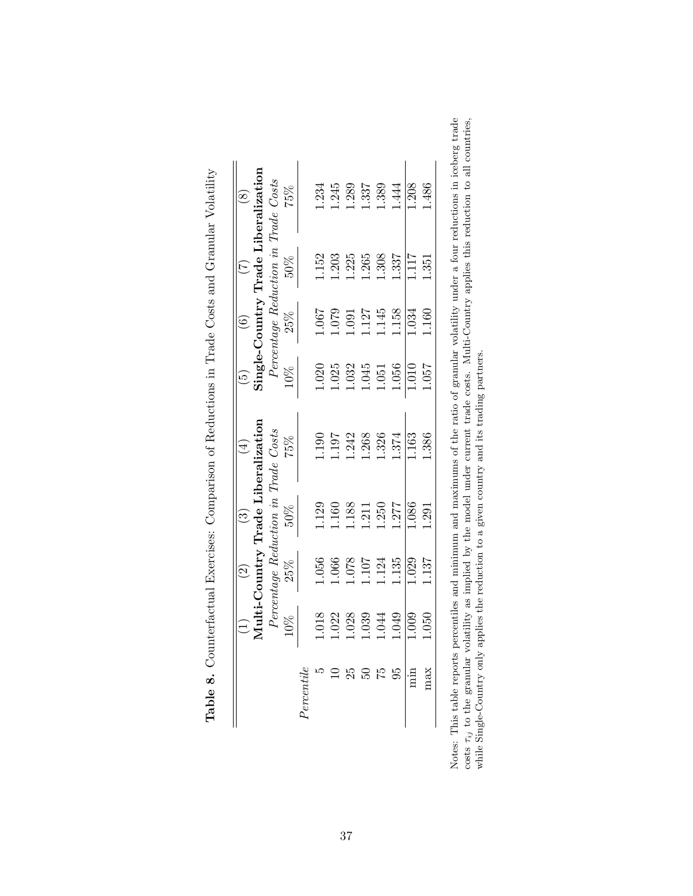|            |               | $\widetilde{\Omega}$ | త                                      | $\overline{4}$                     | جَ    | ڡؘ               |                                     | $\infty$                            |
|------------|---------------|----------------------|----------------------------------------|------------------------------------|-------|------------------|-------------------------------------|-------------------------------------|
|            |               |                      |                                        | Multi-Country Trade Liberalization |       |                  |                                     | Single-Country Trade Liberalization |
|            |               |                      | $P$ ercentage Reduction in Trade Costs |                                    |       |                  | Percentage Reduction in Trade Costs |                                     |
|            | 10%           | 25%                  | $50\%$                                 | 75%                                | 10%   | 25%              | 50%                                 | 75%                                 |
| Percentile |               |                      |                                        |                                    |       |                  |                                     |                                     |
|            | $\frac{8}{1}$ | 1.056                | 129                                    | 1.190                              | 1.020 | 1.067            | 1.152                               | 1.234                               |
|            | 1.022         | .066                 | .160                                   | 1.197                              | 1.025 | 0.079            | 1.203                               | .245                                |
| 25         | 1.028         | 1.078                | 1.188                                  | 1.242                              | 1.032 | 0.001            | 1.225                               | 1.289                               |
|            | 1.039         | 107                  | 1.211                                  | 1.268                              | 1.045 | 127              | 1.265                               | .337                                |
| 52         | 1.044         | 124                  | 1.250                                  | 1.326                              | 1.051 | 1.145            | 1.308                               | 1.389                               |
| 95         | 1.049         | 1.135                | 1.277                                  | 1.374                              | 1.056 | 1.158            | 1.337                               | 1.444                               |
| min        | 1.009         | 1.029                | 1.086                                  | 1.163                              | 1.010 | 1.034            | 1117                                | 1.208                               |
| max        | 1.050         | 137                  | 1.291                                  | 1.386                              | 1.057 | L <sub>160</sub> | 1.351                               | 1.486                               |

| $\frac{1}{2}$<br>j                      |
|-----------------------------------------|
| I<br>I                                  |
| j                                       |
| ;<br>;<br>l<br>f,                       |
| l<br>$\overline{\phantom{a}}$<br>I<br>j |
| į<br>I                                  |
|                                         |
| $\frac{1}{2}$<br>j<br>I                 |

37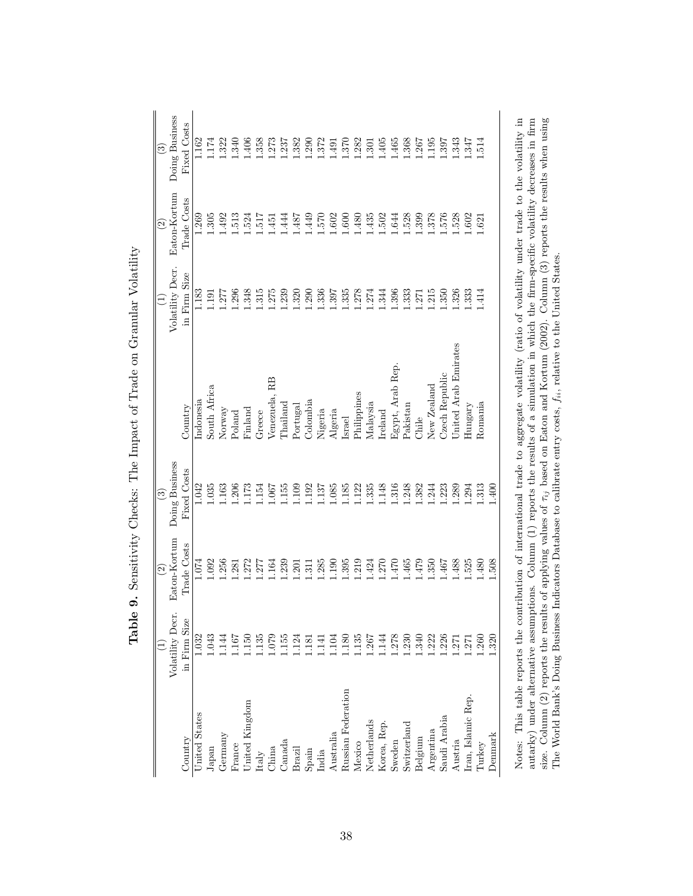| Volatility Decr.<br>in Firm Size<br>1.032<br>1.043<br>135<br>0.079<br>150<br>.155<br>.167<br>.144<br>United Kingdom<br>United States<br>Germany<br>Country<br>$\begin{array}{c} \textrm{Canada} \\ \textrm{Brazil} \end{array}$<br>France<br>Japan<br>China<br>Italy | Eaton-Kortum<br>Trade Costs<br>1.092<br>1.074<br>1.256<br>.272<br>1.281 | Doing Business<br>Fixed Costs |                      | Volatility Decr. | Eaton-Kortum | Doing Business |
|----------------------------------------------------------------------------------------------------------------------------------------------------------------------------------------------------------------------------------------------------------------------|-------------------------------------------------------------------------|-------------------------------|----------------------|------------------|--------------|----------------|
|                                                                                                                                                                                                                                                                      |                                                                         |                               | Country              | in Firm Size     | Trade Costs  | Fixed Costs    |
|                                                                                                                                                                                                                                                                      |                                                                         | 1.042                         | Indonesia            | 1.183            | 1.269        | 1.62           |
|                                                                                                                                                                                                                                                                      |                                                                         | 1.035                         | South Africa         | 1.191            | .305         | .174           |
|                                                                                                                                                                                                                                                                      |                                                                         | 1.163                         | Norway               | 1.277            | .492         | .322           |
|                                                                                                                                                                                                                                                                      |                                                                         | 1.206                         | Poland               | 1.296            | 1.513        | .340           |
|                                                                                                                                                                                                                                                                      |                                                                         | 1.173                         | Finland              | 1.348            | .524         | .406           |
|                                                                                                                                                                                                                                                                      | .277                                                                    | 1.154                         | Greece               | 1.315            | <b>LLG</b> . | .358           |
|                                                                                                                                                                                                                                                                      | 1.164                                                                   | 1.067                         | Venezuela, RB        | 1.275            | $-451$       | .273           |
|                                                                                                                                                                                                                                                                      | 1.239                                                                   | 1.155                         | <b>Thailand</b>      | .239             | 1444         | .237           |
| .124                                                                                                                                                                                                                                                                 | .201                                                                    | EQT1                          | Portugal             | 0.320            | 1.487        | .382           |
| .181<br>$\begin{array}{c} \text{Span} \\ \text{India} \end{array}$                                                                                                                                                                                                   | $\overline{311}$                                                        | 1.192                         | Colombia             | .290             | 1.449        | .290           |
| .141                                                                                                                                                                                                                                                                 | 1.285                                                                   | 137                           | Nigeria              | 1.336            | 1.570        | .372           |
| .104<br>Australia                                                                                                                                                                                                                                                    | 190                                                                     | 1.085                         | Algeria              | 1.397            | 1.602        | .491           |
| .180<br>Russian<br>Federation                                                                                                                                                                                                                                        | .395                                                                    | 1.185                         | Israel               | 1.335            | 0.600        | .370           |
| .135<br>Mexico                                                                                                                                                                                                                                                       | 1.219                                                                   | 1.122                         | Philippines          | 1.278            | 1.480        | .282           |
| 1.267<br>Netherlands                                                                                                                                                                                                                                                 | 1.424                                                                   | 1.335                         | Malaysia             | 1.274            | 1.435        | .301           |
| .144<br>Korea, Rep                                                                                                                                                                                                                                                   | 1.270                                                                   | 1.148                         | $_{\rm Ireland}$     | 1.344            | 1.502        | 405            |
| .278<br>Sweden                                                                                                                                                                                                                                                       | 1.470                                                                   | 1.316                         | Egypt, Arab Rep.     | 1.396            | 1.644        | .465           |
| .230<br>Switzerland                                                                                                                                                                                                                                                  | 1.465                                                                   | 1.248                         | Pakistan             | 1.333            | .528         | .368           |
| .340<br>Belgium                                                                                                                                                                                                                                                      | 1.479                                                                   | 1.382                         | Chile                | .271             | .399         | .267           |
| 1.222<br>Argentina                                                                                                                                                                                                                                                   | .350                                                                    | 1.244                         | New Zealand          | .215             | .378         | .195           |
| .226<br>Saudi Arabia                                                                                                                                                                                                                                                 | 1.467                                                                   | .223                          | Czech Republic       | 1.350            | .576         | .397           |
| .271<br>Austria                                                                                                                                                                                                                                                      | 1.488                                                                   | 1.289                         | United Arab Emirates | .326             | 1.528        | .343           |
| .271<br>Iran, Islamic Rep.                                                                                                                                                                                                                                           | 1.525                                                                   | 1.294                         | Hungary              | 1.333            | 1.602        | 1.347          |
| .260<br>Turkey                                                                                                                                                                                                                                                       | .480                                                                    | 1.313                         | Romania              | $\overline{414}$ | 1.621        | .514           |
| .320<br>Denmark                                                                                                                                                                                                                                                      | 1.508                                                                   | 1.400                         |                      |                  |              |                |

Table 9. Sensitivity Checks: The Impact of Trade on Granular Volatility Table 9. Sensitivity Checks: The Impact of Trade on Granular Volatility Notes: This table reports the contribution of international trade to aggregate volatility (ratio of volatility under trade to the volatility in autarky) under alternative assumptions. Column (1) reports the results of a s Notes: This table reports the contribution of international trade to aggregate volatility (ratio of volatility under trade to the volatility in autarky) under alternative assumptions. Column (1) reports the results of a simulation in which the firm-specific volatility decreases in firm size. Column (2) reports the results of applying values of  $\tau_{ij}$  based on Eaton and Kortum (2002). Column (3) reports the results when using The World Bank's Doing Business Indicators Database to calibrate entry costs,  $f_{ii}$ , relative to the United States.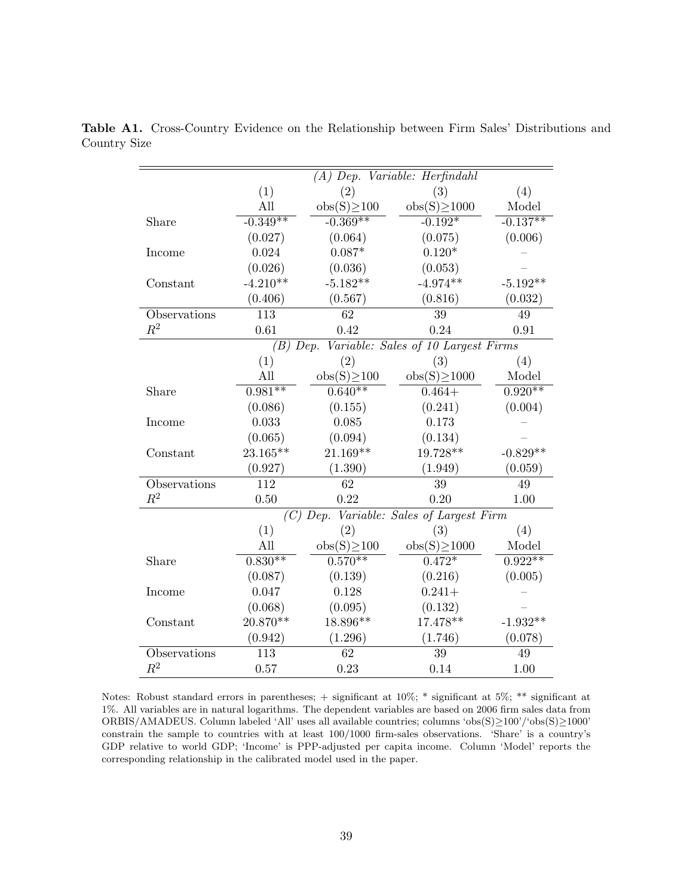|              |            |                  | $(A)$ Dep. Variable: Herfindahl              |            |
|--------------|------------|------------------|----------------------------------------------|------------|
|              | (1)        | (2)              | (3)                                          | (4)        |
|              | All        | $obs(S) \ge 100$ | $obs(S) \ge 1000$                            | Model      |
| Share        | $-0.349**$ | $-0.369**$       | $-0.192*$                                    | $-0.137**$ |
|              | (0.027)    | (0.064)          | (0.075)                                      | (0.006)    |
| Income       | 0.024      | $0.087*$         | $0.120*$                                     |            |
|              | (0.026)    | (0.036)          | (0.053)                                      |            |
| Constant     | $-4.210**$ | $-5.182**$       | $-4.974**$                                   | $-5.192**$ |
|              | (0.406)    | (0.567)          | (0.816)                                      | (0.032)    |
| Observations | 113        | 62               | 39                                           | 49         |
| $R^2$        | 0.61       | 0.42             | 0.24                                         | 0.91       |
|              |            |                  | (B) Dep. Variable: Sales of 10 Largest Firms |            |
|              | (1)        | (2)              | (3)                                          | (4)        |
|              | All        | $obs(S) \ge 100$ | $obs(S) \ge 1000$                            | Model      |
| Share        | $0.981**$  | $0.640**$        | $0.464+$                                     | $0.920**$  |
|              | (0.086)    | (0.155)          | (0.241)                                      | (0.004)    |
| Income       | 0.033      | 0.085            | 0.173                                        |            |
|              | (0.065)    | (0.094)          | (0.134)                                      |            |
| Constant     | 23.165**   | $21.169**$       | 19.728**                                     | $-0.829**$ |
|              | (0.927)    | (1.390)          | (1.949)                                      | (0.059)    |
| Observations | 112        | $\overline{62}$  | 39                                           | 49         |
| $R^2$        | 0.50       | 0.22             | 0.20                                         | 1.00       |
|              |            | $(C)$ Dep.       | Variable: Sales of Largest Firm              |            |
|              | (1)        | (2)              | (3)                                          | (4)        |
|              | All        | $obs(S) \ge 100$ | $obs(S) \ge 1000$                            | Model      |
| Share        | $0.830**$  | $0.570**$        | $0.472*$                                     | $0.922**$  |
|              | (0.087)    | (0.139)          | (0.216)                                      | (0.005)    |
| Income       | 0.047      | 0.128            | $0.241 +$                                    |            |
|              | (0.068)    | (0.095)          | (0.132)                                      |            |
| Constant     | 20.870**   | 18.896**         | 17.478**                                     | $-1.932**$ |
|              | (0.942)    | (1.296)          | (1.746)                                      | (0.078)    |
| Observations | 113        | 62               | 39                                           | 49         |
| $R^2$        | 0.57       | 0.23             | 0.14                                         | 1.00       |

Table A1. Cross-Country Evidence on the Relationship between Firm Sales' Distributions and Country Size

Notes: Robust standard errors in parentheses; + significant at 10%; \* significant at 5%; \*\* significant at 1%. All variables are in natural logarithms. The dependent variables are based on 2006 firm sales data from ORBIS/AMADEUS. Column labeled 'All' uses all available countries; columns 'obs(S)≥100'/'obs(S)≥1000' constrain the sample to countries with at least 100/1000 firm-sales observations. 'Share' is a country's GDP relative to world GDP; 'Income' is PPP-adjusted per capita income. Column 'Model' reports the corresponding relationship in the calibrated model used in the paper.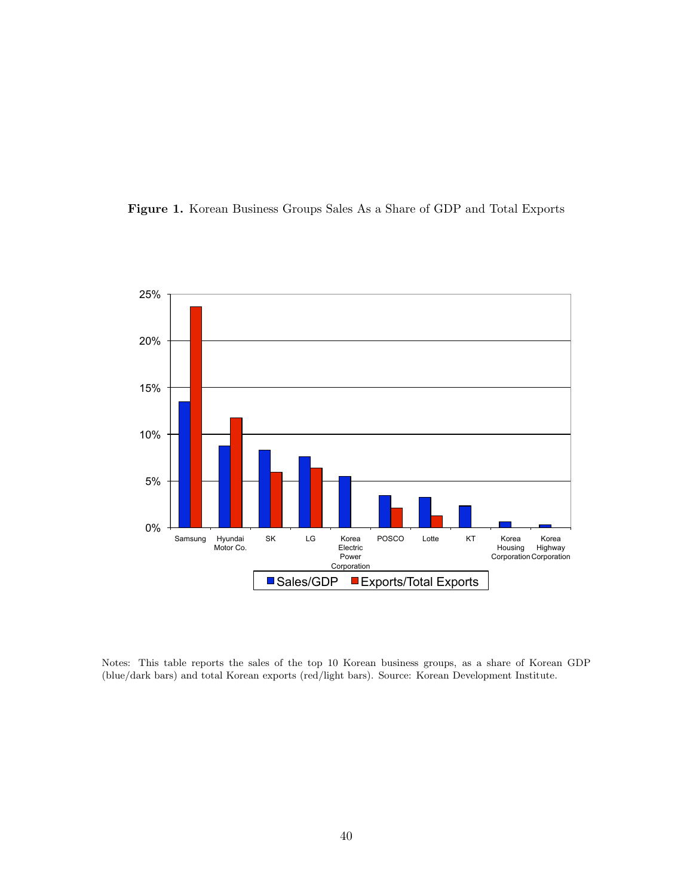



Notes: This table reports the sales of the top 10 Korean business groups, as a share of Korean GDP (blue/dark bars) and total Korean exports (red/light bars). Source: Korean Development Institute.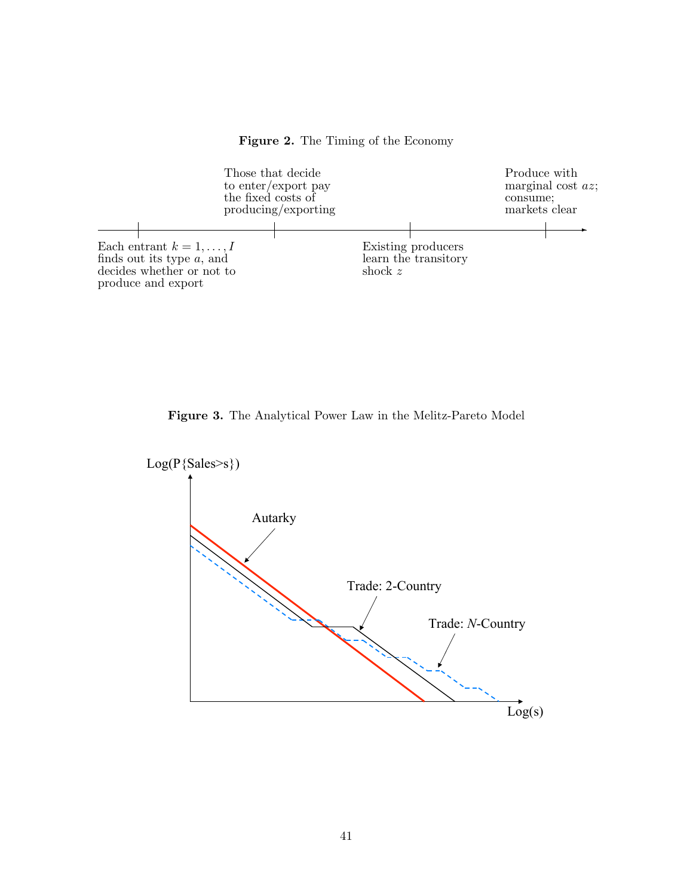Figure 2. The Timing of the Economy



Figure 3. The Analytical Power Law in the Melitz-Pareto Model

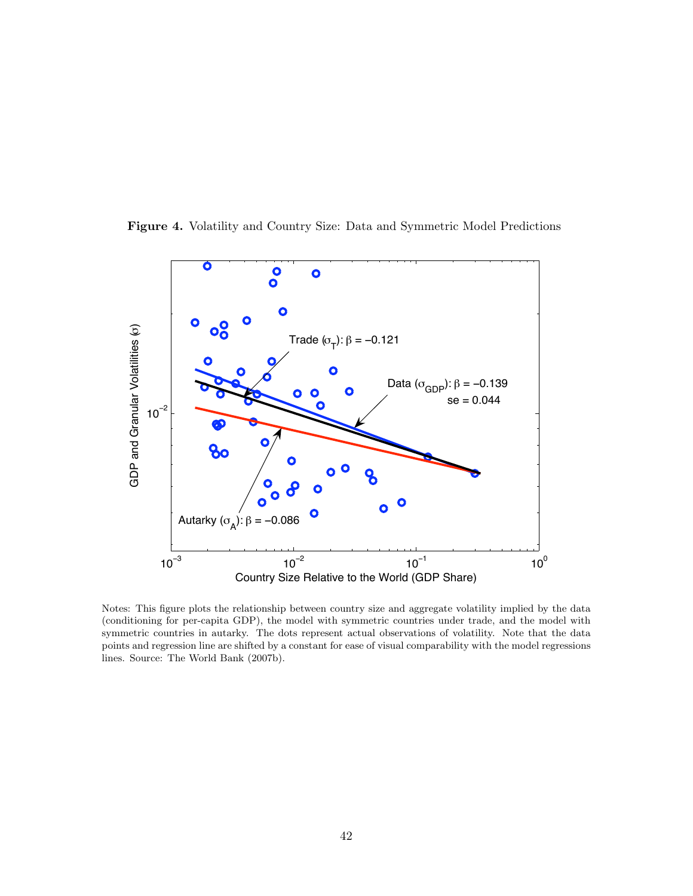

Figure 4. Volatility and Country Size: Data and Symmetric Model Predictions

Notes: This figure plots the relationship between country size and aggregate volatility implied by the data (conditioning for per-capita GDP), the model with symmetric countries under trade, and the model with symmetric countries in autarky. The dots represent actual observations of volatility. Note that the data points and regression line are shifted by a constant for ease of visual comparability with the model regressions lines. Source: The World Bank (2007b).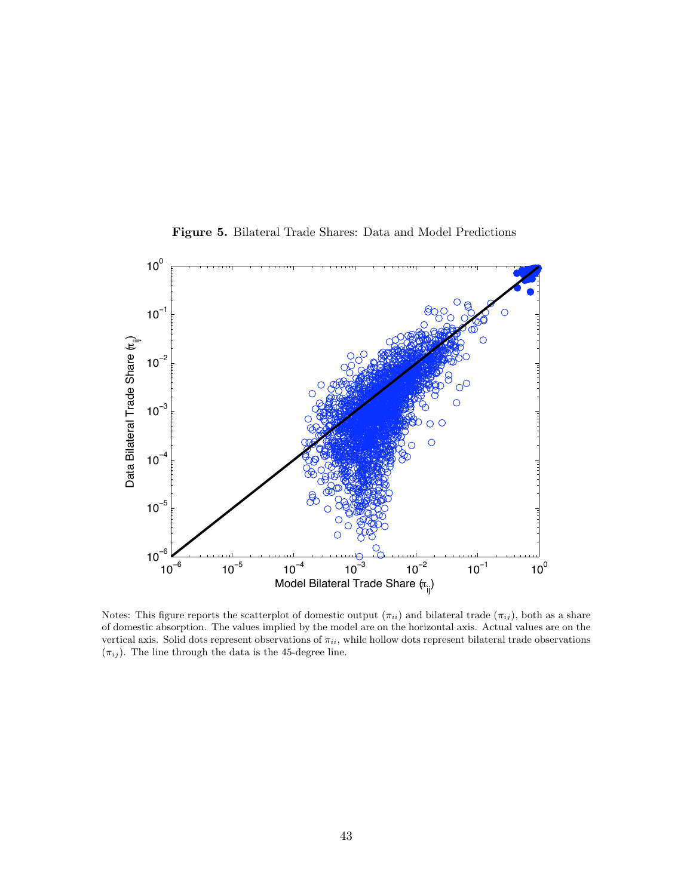

Figure 5. Bilateral Trade Shares: Data and Model Predictions

Notes: This figure reports the scatterplot of domestic output  $(\pi_{ii})$  and bilateral trade  $(\pi_{ij})$ , both as a share of domestic absorption. The values implied by the model are on the horizontal axis. Actual values are on the vertical axis. Solid dots represent observations of  $\pi_{ii}$ , while hollow dots represent bilateral trade observations  $(\pi_{ij} ).$  The line through the data is the 45-degree line.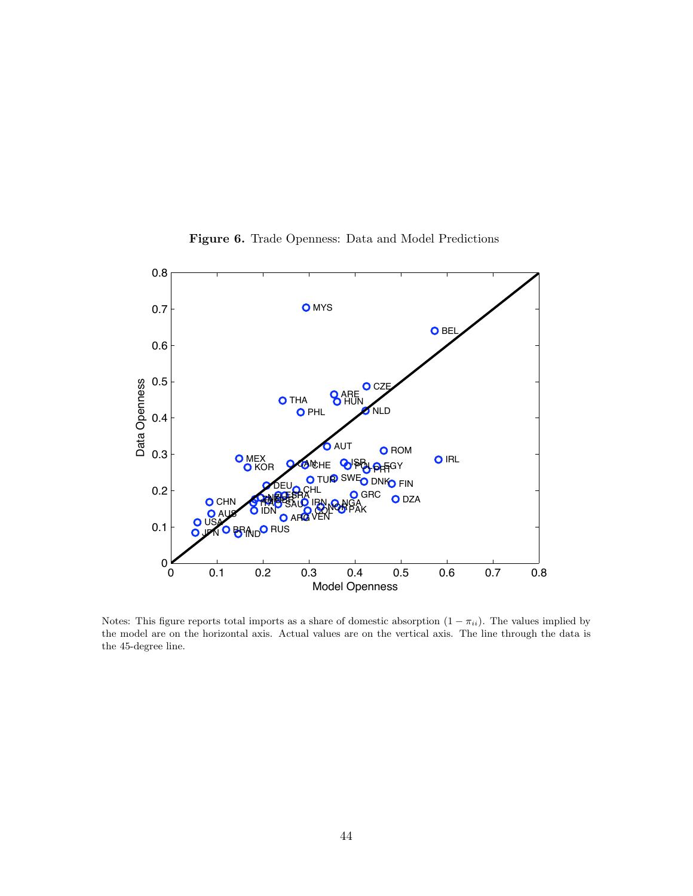

Figure 6. Trade Openness: Data and Model Predictions

Notes: This figure reports total imports as a share of domestic absorption  $(1 - \pi_{ii})$ . The values implied by the model are on the horizontal axis. Actual values are on the vertical axis. The line through the data is the 45-degree line.